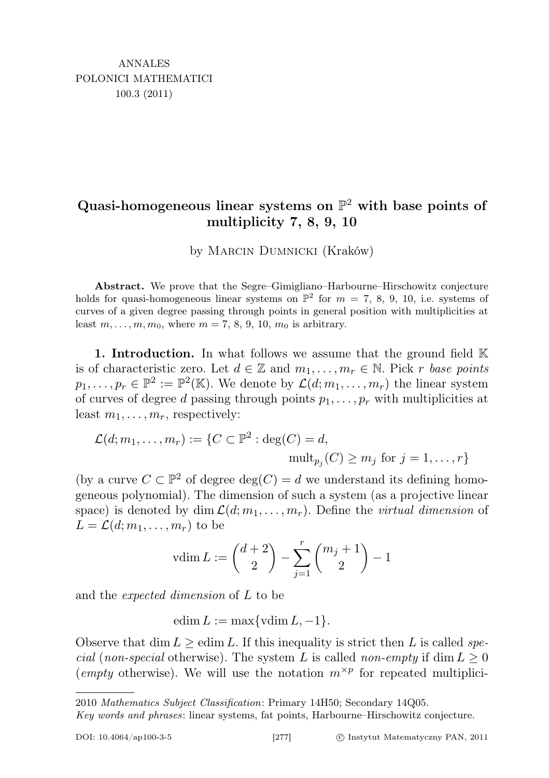# Quasi-homogeneous linear systems on  $\mathbb{P}^2$  with base points of multiplicity 7, 8, 9, 10

by Marcin Dumnicki (Kraków)

Abstract. We prove that the Segre–Gimigliano–Harbourne–Hirschowitz conjecture holds for quasi-homogeneous linear systems on  $\mathbb{P}^2$  for  $m = 7, 8, 9, 10$ , i.e. systems of curves of a given degree passing through points in general position with multiplicities at least  $m, \ldots, m, m_0$ , where  $m = 7, 8, 9, 10, m_0$  is arbitrary.

1. Introduction. In what follows we assume that the ground field  $K$ is of characteristic zero. Let  $d \in \mathbb{Z}$  and  $m_1, \ldots, m_r \in \mathbb{N}$ . Pick r base points  $p_1, \ldots, p_r \in \mathbb{P}^2 := \mathbb{P}^2(\mathbb{K})$ . We denote by  $\mathcal{L}(d; m_1, \ldots, m_r)$  the linear system of curves of degree d passing through points  $p_1, \ldots, p_r$  with multiplicities at least  $m_1, \ldots, m_r$ , respectively:

$$
\mathcal{L}(d; m_1, \dots, m_r) := \{ C \subset \mathbb{P}^2 : \deg(C) = d, \\ \text{mult}_{p_j}(C) \ge m_j \text{ for } j = 1, \dots, r \}
$$

(by a curve  $C \subset \mathbb{P}^2$  of degree  $\deg(C) = d$  we understand its defining homogeneous polynomial). The dimension of such a system (as a projective linear space) is denoted by  $\dim \mathcal{L}(d; m_1, \ldots, m_r)$ . Define the *virtual dimension* of  $L = \mathcal{L}(d; m_1, \ldots, m_r)$  to be

$$
v \dim L := \binom{d+2}{2} - \sum_{j=1}^{r} \binom{m_j+1}{2} - 1
$$

and the expected dimension of L to be

edim  $L := \max\{\text{vdim } L, -1\}.$ 

Observe that dim  $L \geq$  edim L. If this inequality is strict then L is called spe*cial (non-special otherwise).* The system L is called non-empty if dim  $L \geq 0$ (empty otherwise). We will use the notation  $m^{\times p}$  for repeated multiplici-

<sup>2010</sup> Mathematics Subject Classification: Primary 14H50; Secondary 14Q05.

Key words and phrases: linear systems, fat points, Harbourne–Hirschowitz conjecture.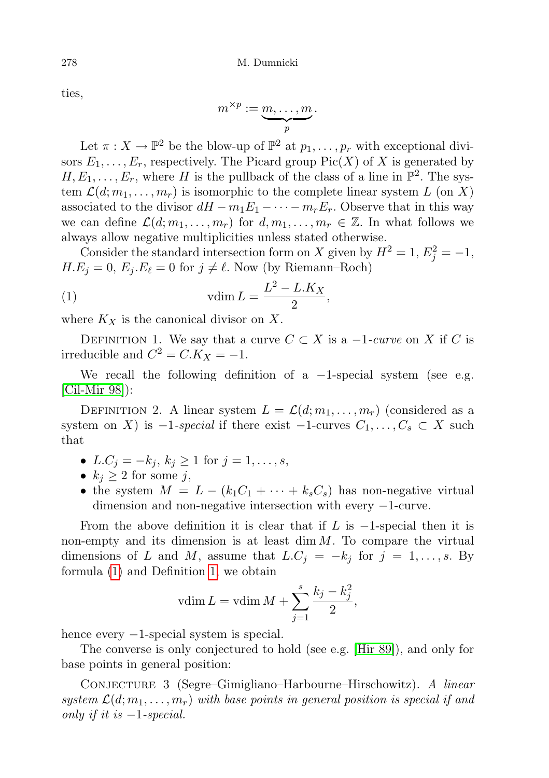ties,

$$
m^{\times p} := \underbrace{m, \ldots, m}_{p}.
$$

Let  $\pi: X \to \mathbb{P}^2$  be the blow-up of  $\mathbb{P}^2$  at  $p_1, \ldots, p_r$  with exceptional divisors  $E_1, \ldots, E_r$ , respectively. The Picard group  $Pic(X)$  of X is generated by  $H, E_1, \ldots, E_r$ , where H is the pullback of the class of a line in  $\mathbb{P}^2$ . The system  $\mathcal{L}(d; m_1, \ldots, m_r)$  is isomorphic to the complete linear system L (on X) associated to the divisor  $dH - m_1E_1 - \cdots - m_rE_r$ . Observe that in this way we can define  $\mathcal{L}(d; m_1, \ldots, m_r)$  for  $d, m_1, \ldots, m_r \in \mathbb{Z}$ . In what follows we always allow negative multiplicities unless stated otherwise.

Consider the standard intersection form on X given by  $H^2 = 1, E_j^2 = -1$ ,  $H.E_j = 0, E_j.E_\ell = 0$  for  $j \neq \ell$ . Now (by Riemann–Roch)

<span id="page-1-0"></span>
$$
\text{(1)}\qquad \qquad \text{vdim}\,L=\frac{L^2-L.K_X}{2},
$$

where  $K_X$  is the canonical divisor on X.

<span id="page-1-1"></span>DEFINITION 1. We say that a curve  $C \subset X$  is a  $-1$ -curve on X if C is irreducible and  $C^2 = C.K_X = -1$ .

We recall the following definition of a  $-1$ -special system (see e.g. [\[Cil-Mir 98\]](#page-22-0)):

DEFINITION 2. A linear system  $L = \mathcal{L}(d; m_1, \ldots, m_r)$  (considered as a system on X) is  $-1$ -special if there exist  $-1$ -curves  $C_1, \ldots, C_s \subset X$  such that

- $L.C_j = -k_j, k_j \ge 1$  for  $j = 1, ..., s$ ,
- $k_j \geq 2$  for some j,
- the system  $M = L (k_1C_1 + \cdots + k_sC_s)$  has non-negative virtual dimension and non-negative intersection with every −1-curve.

From the above definition it is clear that if L is  $-1$ -special then it is non-empty and its dimension is at least  $\dim M$ . To compare the virtual dimensions of L and M, assume that  $L.C_j = -k_j$  for  $j = 1, \ldots, s$ . By formula [\(1\)](#page-1-0) and Definition [1,](#page-1-1) we obtain

$$
vdim L = vdim M + \sum_{j=1}^{s} \frac{k_j - k_j^2}{2},
$$

hence every  $-1$ -special system is special.

The converse is only conjectured to hold (see e.g. [\[Hir 89\]](#page-23-0)), and only for base points in general position:

Conjecture 3 (Segre–Gimigliano–Harbourne–Hirschowitz). A linear system  $\mathcal{L}(d; m_1, \ldots, m_r)$  with base points in general position is special if and only if it is  $-1$ -special.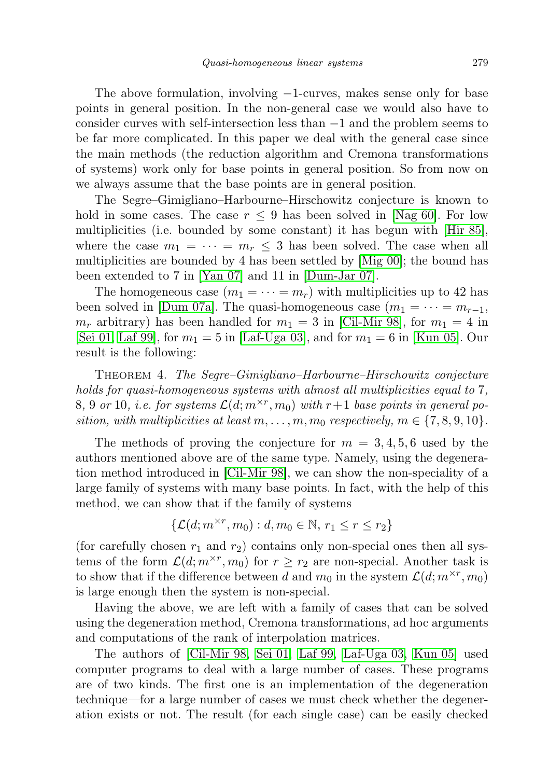The above formulation, involving −1-curves, makes sense only for base points in general position. In the non-general case we would also have to consider curves with self-intersection less than −1 and the problem seems to be far more complicated. In this paper we deal with the general case since the main methods (the reduction algorithm and Cremona transformations of systems) work only for base points in general position. So from now on we always assume that the base points are in general position.

The Segre–Gimigliano–Harbourne–Hirschowitz conjecture is known to hold in some cases. The case  $r \leq 9$  has been solved in [\[Nag 60\]](#page-23-1). For low multiplicities (i.e. bounded by some constant) it has begun with [\[Hir 85\]](#page-23-2), where the case  $m_1 = \cdots = m_r \leq 3$  has been solved. The case when all multiplicities are bounded by 4 has been settled by [\[Mig 00\]](#page-23-3); the bound has been extended to 7 in [\[Yan 07\]](#page-23-4) and 11 in [\[Dum-Jar 07\]](#page-23-5).

The homogeneous case  $(m_1 = \cdots = m_r)$  with multiplicities up to 42 has been solved in [\[Dum 07a\]](#page-22-1). The quasi-homogeneous case  $(m_1 = \cdots = m_{r-1},$  $m_r$  arbitrary) has been handled for  $m_1 = 3$  in [\[Cil-Mir 98\]](#page-22-0), for  $m_1 = 4$  in [\[Sei 01,](#page-23-6) [Laf 99\]](#page-23-7), for  $m_1 = 5$  in [\[Laf-Uga 03\]](#page-23-8), and for  $m_1 = 6$  in [\[Kun 05\]](#page-23-9). Our result is the following:

<span id="page-2-0"></span>Theorem 4. The Segre–Gimigliano–Harbourne–Hirschowitz conjecture holds for quasi-homogeneous systems with almost all multiplicities equal to 7,  $8, 9 \text{ or } 10, \text{ i.e. for systems } \mathcal{L}(d; m^{\times r}, m_0) \text{ with } r+1 \text{ base points in general po-}$ sition, with multiplicities at least  $m, \ldots, m, m_0$  respectively,  $m \in \{7, 8, 9, 10\}$ .

The methods of proving the conjecture for  $m = 3, 4, 5, 6$  used by the authors mentioned above are of the same type. Namely, using the degeneration method introduced in [\[Cil-Mir 98\]](#page-22-0), we can show the non-speciality of a large family of systems with many base points. In fact, with the help of this method, we can show that if the family of systems

$$
\{\mathcal{L}(d; m^{\times r}, m_0) : d, m_0 \in \mathbb{N}, r_1 \le r \le r_2\}
$$

(for carefully chosen  $r_1$  and  $r_2$ ) contains only non-special ones then all systems of the form  $\mathcal{L}(d; m^{\times r}, m_0)$  for  $r \geq r_2$  are non-special. Another task is to show that if the difference between d and  $m_0$  in the system  $\mathcal{L}(d; m^{\times r}, m_0)$ is large enough then the system is non-special.

Having the above, we are left with a family of cases that can be solved using the degeneration method, Cremona transformations, ad hoc arguments and computations of the rank of interpolation matrices.

The authors of [\[Cil-Mir 98,](#page-22-0) [Sei 01,](#page-23-6) [Laf 99,](#page-23-7) [Laf-Uga 03,](#page-23-8) [Kun 05\]](#page-23-9) used computer programs to deal with a large number of cases. These programs are of two kinds. The first one is an implementation of the degeneration technique—for a large number of cases we must check whether the degeneration exists or not. The result (for each single case) can be easily checked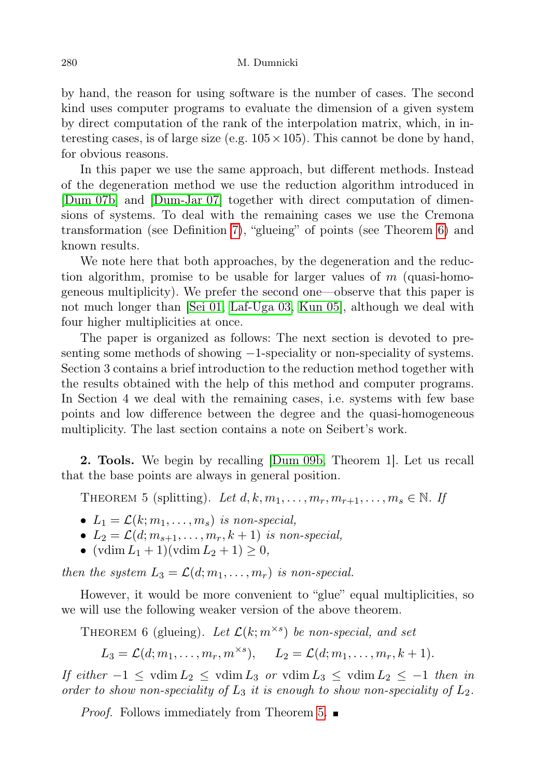by hand, the reason for using software is the number of cases. The second kind uses computer programs to evaluate the dimension of a given system by direct computation of the rank of the interpolation matrix, which, in interesting cases, is of large size (e.g.  $105 \times 105$ ). This cannot be done by hand, for obvious reasons.

In this paper we use the same approach, but different methods. Instead of the degeneration method we use the reduction algorithm introduced in [\[Dum 07b\]](#page-22-2) and [\[Dum-Jar 07\]](#page-23-5) together with direct computation of dimensions of systems. To deal with the remaining cases we use the Cremona transformation (see Definition [7\)](#page-3-0), "glueing" of points (see Theorem [6\)](#page-3-1) and known results.

We note here that both approaches, by the degeneration and the reduction algorithm, promise to be usable for larger values of  $m$  (quasi-homogeneous multiplicity). We prefer the second one—observe that this paper is not much longer than [\[Sei 01,](#page-23-6) [Laf-Uga 03,](#page-23-8) [Kun 05\]](#page-23-9), although we deal with four higher multiplicities at once.

The paper is organized as follows: The next section is devoted to presenting some methods of showing −1-speciality or non-speciality of systems. Section 3 contains a brief introduction to the reduction method together with the results obtained with the help of this method and computer programs. In Section 4 we deal with the remaining cases, i.e. systems with few base points and low difference between the degree and the quasi-homogeneous multiplicity. The last section contains a note on Seibert's work.

2. Tools. We begin by recalling [\[Dum 09b,](#page-23-10) Theorem 1]. Let us recall that the base points are always in general position.

<span id="page-3-2"></span>THEOREM 5 (splitting). Let  $d, k, m_1, \ldots, m_r, m_{r+1}, \ldots, m_s \in \mathbb{N}$ . If

- $L_1 = \mathcal{L}(k; m_1, \ldots, m_s)$  is non-special,
- $L_2 = \mathcal{L}(d; m_{s+1}, \ldots, m_r, k+1)$  is non-special,
- $(\text{vdim } L_1 + 1)(\text{vdim } L_2 + 1) \geq 0,$

then the system  $L_3 = \mathcal{L}(d; m_1, \ldots, m_r)$  is non-special.

However, it would be more convenient to "glue" equal multiplicities, so we will use the following weaker version of the above theorem.

<span id="page-3-1"></span>THEOREM 6 (glueing). Let  $\mathcal{L}(k; m^{\times s})$  be non-special, and set

$$
L_3 = \mathcal{L}(d; m_1, \dots, m_r, m^{\times s}), \quad L_2 = \mathcal{L}(d; m_1, \dots, m_r, k+1).
$$

If either  $-1 \leq \text{vdim } L_2 \leq \text{vdim } L_3$  or  $\text{vdim } L_3 \leq \text{vdim } L_2 \leq -1$  then in order to show non-speciality of  $L_3$  it is enough to show non-speciality of  $L_2$ .

<span id="page-3-0"></span>*Proof.* Follows immediately from Theorem [5.](#page-3-2)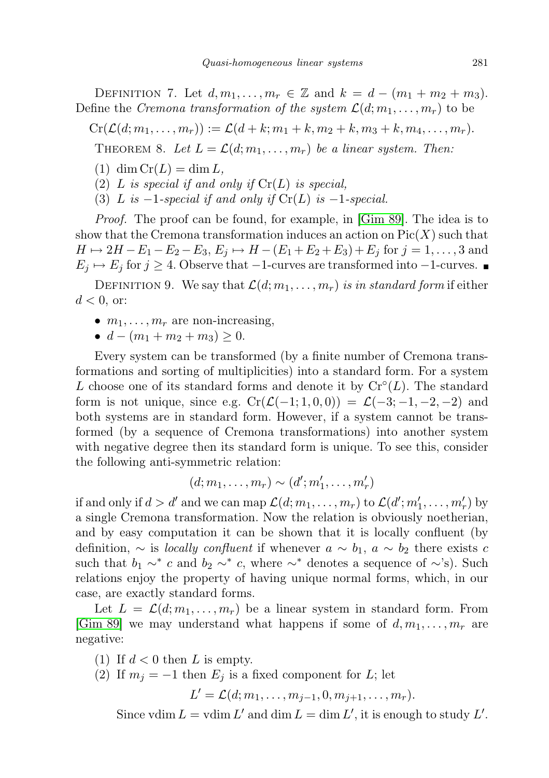DEFINITION 7. Let  $d, m_1, \ldots, m_r \in \mathbb{Z}$  and  $k = d - (m_1 + m_2 + m_3)$ . Define the Cremona transformation of the system  $\mathcal{L}(d; m_1, \ldots, m_r)$  to be

 $Cr(\mathcal{L}(d; m_1, \ldots, m_r)) := \mathcal{L}(d+k; m_1+k, m_2+k, m_3+k, m_4, \ldots, m_r).$ 

THEOREM 8. Let  $L = \mathcal{L}(d; m_1, \ldots, m_r)$  be a linear system. Then:

 $(1)$  dim  $Cr(L) = \dim L$ ,

(2) L is special if and only if  $Cr(L)$  is special,

(3) L is  $-1$ -special if and only if  $Cr(L)$  is  $-1$ -special.

Proof. The proof can be found, for example, in [\[Gim 89\]](#page-23-11). The idea is to show that the Cremona transformation induces an action on  $Pic(X)$  such that  $H \mapsto 2H - E_1 - E_2 - E_3, E_j \mapsto H - (E_1 + E_2 + E_3) + E_j$  for  $j = 1, ..., 3$  and  $E_j \mapsto E_j$  for  $j \geq 4$ . Observe that  $-1$ -curves are transformed into  $-1$ -curves.

<span id="page-4-0"></span>DEFINITION 9. We say that  $\mathcal{L}(d; m_1, \ldots, m_r)$  is in standard form if either  $d < 0$ , or:

- $m_1, \ldots, m_r$  are non-increasing,
- $d (m_1 + m_2 + m_3) \geq 0$ .

Every system can be transformed (by a finite number of Cremona transformations and sorting of multiplicities) into a standard form. For a system L choose one of its standard forms and denote it by  $Cr<sup>o</sup>(L)$ . The standard form is not unique, since e.g.  $Cr(\mathcal{L}(-1; 1, 0, 0)) = \mathcal{L}(-3; -1, -2, -2)$  and both systems are in standard form. However, if a system cannot be transformed (by a sequence of Cremona transformations) into another system with negative degree then its standard form is unique. To see this, consider the following anti-symmetric relation:

$$
(d; m_1, \ldots, m_r) \sim (d'; m'_1, \ldots, m'_r)
$$

if and only if  $d > d'$  and we can map  $\mathcal{L}(d; m_1, \ldots, m_r)$  to  $\mathcal{L}(d'; m'_1, \ldots, m'_r)$  by a single Cremona transformation. Now the relation is obviously noetherian, and by easy computation it can be shown that it is locally confluent (by definition,  $\sim$  is *locally confluent* if whenever  $a \sim b_1$ ,  $a \sim b_2$  there exists c such that  $b_1 \sim^* c$  and  $b_2 \sim^* c$ , where  $\sim^*$  denotes a sequence of  $\sim$ 's). Such relations enjoy the property of having unique normal forms, which, in our case, are exactly standard forms.

Let  $L = \mathcal{L}(d; m_1, \ldots, m_r)$  be a linear system in standard form. From [\[Gim 89\]](#page-23-11) we may understand what happens if some of  $d, m_1, \ldots, m_r$  are negative:

(1) If  $d < 0$  then L is empty.

(2) If  $m_i = -1$  then  $E_i$  is a fixed component for L; let

 $L' = \mathcal{L}(d; m_1, \ldots, m_{j-1}, 0, m_{j+1}, \ldots, m_r).$ 

Since vdim  $L = \text{vdim } L'$  and dim  $L = \dim L'$ , it is enough to study  $L'$ .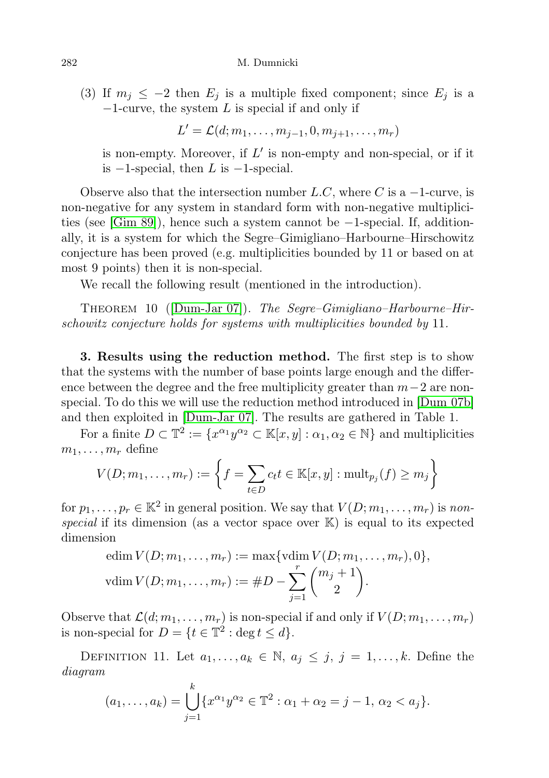(3) If  $m_j \leq -2$  then  $E_j$  is a multiple fixed component; since  $E_j$  is a  $-1$ -curve, the system L is special if and only if

 $L' = \mathcal{L}(d; m_1, \ldots, m_{j-1}, 0, m_{j+1}, \ldots, m_r)$ 

is non-empty. Moreover, if  $L'$  is non-empty and non-special, or if it is  $-1$ -special, then L is  $-1$ -special.

Observe also that the intersection number  $L.C$ , where C is a  $-1$ -curve, is non-negative for any system in standard form with non-negative multiplicities (see [\[Gim 89\]](#page-23-11)), hence such a system cannot be −1-special. If, additionally, it is a system for which the Segre–Gimigliano–Harbourne–Hirschowitz conjecture has been proved (e.g. multiplicities bounded by 11 or based on at most 9 points) then it is non-special.

We recall the following result (mentioned in the introduction).

<span id="page-5-0"></span>THEOREM 10 ([\[Dum-Jar 07\]](#page-23-5)). The Segre–Gimigliano–Harbourne–Hirschowitz conjecture holds for systems with multiplicities bounded by 11.

3. Results using the reduction method. The first step is to show that the systems with the number of base points large enough and the difference between the degree and the free multiplicity greater than  $m-2$  are nonspecial. To do this we will use the reduction method introduced in [\[Dum 07b\]](#page-22-2) and then exploited in [\[Dum-Jar 07\]](#page-23-5). The results are gathered in Table 1.

For a finite  $D \subset \mathbb{T}^2 := \{x^{\alpha_1}y^{\alpha_2} \subset \mathbb{K}[x, y] : \alpha_1, \alpha_2 \in \mathbb{N}\}\$  and multiplicities  $m_1, \ldots, m_r$  define

$$
V(D; m_1, \ldots, m_r) := \left\{ f = \sum_{t \in D} c_t t \in \mathbb{K}[x, y] : \mathrm{mult}_{p_j}(f) \ge m_j \right\}
$$

for  $p_1, \ldots, p_r \in \mathbb{K}^2$  in general position. We say that  $V(D; m_1, \ldots, m_r)$  is nonspecial if its dimension (as a vector space over  $\mathbb{K}$ ) is equal to its expected dimension

edim 
$$
V(D; m_1, ..., m_r) := \max\{\text{vdim } V(D; m_1, ..., m_r), 0\},\
$$
  
vdim  $V(D; m_1, ..., m_r) := \#D - \sum_{j=1}^r {m_j + 1 \choose 2}.$ 

Observe that  $\mathcal{L}(d; m_1, \ldots, m_r)$  is non-special if and only if  $V(D; m_1, \ldots, m_r)$ is non-special for  $D = \{t \in \mathbb{T}^2 : \deg t \le d\}.$ 

DEFINITION 11. Let  $a_1, \ldots, a_k \in \mathbb{N}, a_j \leq j, j = 1, \ldots, k$ . Define the diagram

$$
(a_1,\ldots,a_k) = \bigcup_{j=1}^k \{x^{\alpha_1}y^{\alpha_2} \in \mathbb{T}^2 : \alpha_1 + \alpha_2 = j - 1, \, \alpha_2 < a_j\}.
$$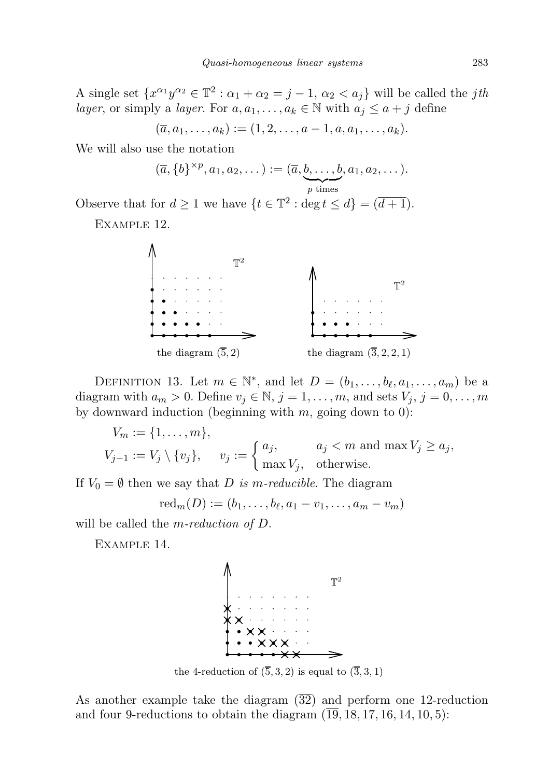A single set  $\{x^{\alpha_1}y^{\alpha_2} \in \mathbb{T}^2 : \alpha_1 + \alpha_2 = j - 1, \alpha_2 < a_j\}$  will be called the *jth* layer, or simply a layer. For  $a, a_1, \ldots, a_k \in \mathbb{N}$  with  $a_j \leq a + j$  define

$$
(\overline{a}, a_1, \ldots, a_k) := (1, 2, \ldots, a-1, a, a_1, \ldots, a_k).
$$

We will also use the notation

$$
(\overline{a}, \{b\}^{\times p}, a_1, a_2, \dots) := (\overline{a}, \underbrace{b, \dots, b}_{p \text{ times}}, a_1, a_2, \dots).
$$

Observe that for  $d \geq 1$  we have  $\{t \in \mathbb{T}^2 : \deg t \leq d\} = (\overline{d+1})$ .

Example 12.



<span id="page-6-0"></span>DEFINITION 13. Let  $m \in \mathbb{N}^*$ , and let  $D = (b_1, \ldots, b_\ell, a_1, \ldots, a_m)$  be a diagram with  $a_m > 0$ . Define  $v_j \in \mathbb{N}$ ,  $j = 1, \ldots, m$ , and sets  $V_j$ ,  $j = 0, \ldots, m$ by downward induction (beginning with  $m$ , going down to 0):

$$
V_m := \{1, \dots, m\},
$$
  
\n
$$
V_{j-1} := V_j \setminus \{v_j\}, \quad v_j := \begin{cases} a_j, & a_j < m \text{ and } \max V_j \ge a_j, \\ \max V_j, & \text{otherwise.} \end{cases}
$$

If  $V_0 = \emptyset$  then we say that D is m-reducible. The diagram

$$
\mathrm{red}_m(D):=(b_1,\ldots,b_\ell,a_1-v_1,\ldots,a_m-v_m)
$$

will be called the *m*-reduction of  $D$ .

EXAMPLE 14.



the 4-reduction of  $(\overline{5}, 3, 2)$  is equal to  $(\overline{3}, 3, 1)$ 

As another example take the diagram  $(\overline{32})$  and perform one 12-reduction and four 9-reductions to obtain the diagram  $(\overline{19}, 18, 17, 16, 14, 10, 5)$ :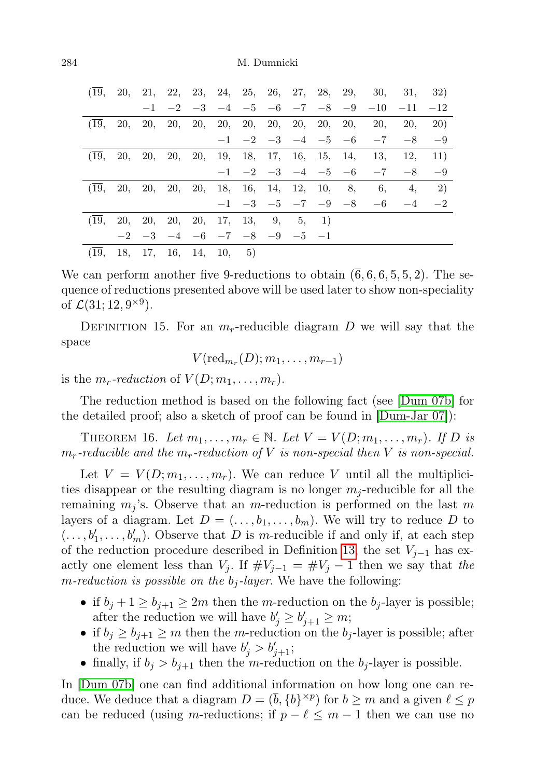| (19,    |  |  |                                              |  |                               |  | 20, 21, 22, 23, 24, 25, 26, 27, 28, 29, 30, 31, 32)      |     |             |
|---------|--|--|----------------------------------------------|--|-------------------------------|--|----------------------------------------------------------|-----|-------------|
|         |  |  |                                              |  |                               |  | $-1$ $-2$ $-3$ $-4$ $-5$ $-6$ $-7$ $-8$ $-9$ $-10$ $-11$ |     | $-12$       |
| (19,    |  |  |                                              |  |                               |  |                                                          | 20. | <b>20</b> ) |
|         |  |  |                                              |  |                               |  | $-1$ $-2$ $-3$ $-4$ $-5$ $-6$ $-7$ $-8$                  |     | $-9$        |
| (19,    |  |  |                                              |  |                               |  | 20, 20, 20, 20, 19, 18, 17, 16, 15, 14, 13, 12,          |     | 11)         |
|         |  |  |                                              |  | $-1$ $-2$ $-3$ $-4$ $-5$ $-6$ |  | $-7 -8$                                                  |     | -9          |
| (19,    |  |  | 20, 20, 20, 20, 18, 16, 14, 12, 10, 8,       |  |                               |  | 6,                                                       |     | 4, 2)       |
|         |  |  |                                              |  |                               |  | $-1$ $-3$ $-5$ $-7$ $-9$ $-8$ $-6$ $-4$ $-2$             |     |             |
| (19, 1) |  |  | 20, 20, 20, 20, 17, 13, 9, 5, 1              |  |                               |  |                                                          |     |             |
|         |  |  | $-2$ $-3$ $-4$ $-6$ $-7$ $-8$ $-9$ $-5$ $-1$ |  |                               |  |                                                          |     |             |
| (19,    |  |  | 18, 17, 16, 14, 10, 5                        |  |                               |  |                                                          |     |             |

We can perform another five 9-reductions to obtain  $(6, 6, 6, 5, 5, 2)$ . The sequence of reductions presented above will be used later to show non-speciality of  $\mathcal{L}(31; 12, 9^{\times 9})$ .

DEFINITION 15. For an  $m_r$ -reducible diagram D we will say that the space

 $V(\operatorname{red}_{m_r}(D);m_1,\ldots,m_{r-1})$ 

is the  $m_r$ -reduction of  $V(D; m_1, \ldots, m_r)$ .

The reduction method is based on the following fact (see [\[Dum 07b\]](#page-22-2) for the detailed proof; also a sketch of proof can be found in [\[Dum-Jar 07\]](#page-23-5)):

<span id="page-7-0"></span>THEOREM 16. Let  $m_1, \ldots, m_r \in \mathbb{N}$ . Let  $V = V(D; m_1, \ldots, m_r)$ . If D is  $m_r$ -reducible and the  $m_r$ -reduction of V is non-special then V is non-special.

Let  $V = V(D; m_1, \ldots, m_r)$ . We can reduce V until all the multiplicities disappear or the resulting diagram is no longer  $m_j$ -reducible for all the remaining  $m_j$ 's. Observe that an m-reduction is performed on the last m layers of a diagram. Let  $D = (\ldots, b_1, \ldots, b_m)$ . We will try to reduce D to  $( \ldots, b'_1, \ldots, b'_m)$ . Observe that D is m-reducible if and only if, at each step of the reduction procedure described in Definition [13,](#page-6-0) the set  $V_{j-1}$  has exactly one element less than  $V_j$ . If  $\#V_{j-1} = \#V_j - 1$  then we say that the m-reduction is possible on the  $b_j$ -layer. We have the following:

- if  $b_j + 1 \ge b_{j+1} \ge 2m$  then the m-reduction on the  $b_j$ -layer is possible; after the reduction we will have  $b'_j \geq b'_{j+1} \geq m$ ;
- if  $b_i \ge b_{i+1} \ge m$  then the m-reduction on the  $b_i$ -layer is possible; after the reduction we will have  $b'_j > b'_{j+1}$ ;
- finally, if  $b_j > b_{j+1}$  then the m-reduction on the  $b_j$ -layer is possible.

In [\[Dum 07b\]](#page-22-2) one can find additional information on how long one can reduce. We deduce that a diagram  $D = (\bar{b}, \{b\}^{\times p})$  for  $b \geq m$  and a given  $\ell \leq p$ can be reduced (using m-reductions; if  $p - \ell \leq m - 1$  then we can use no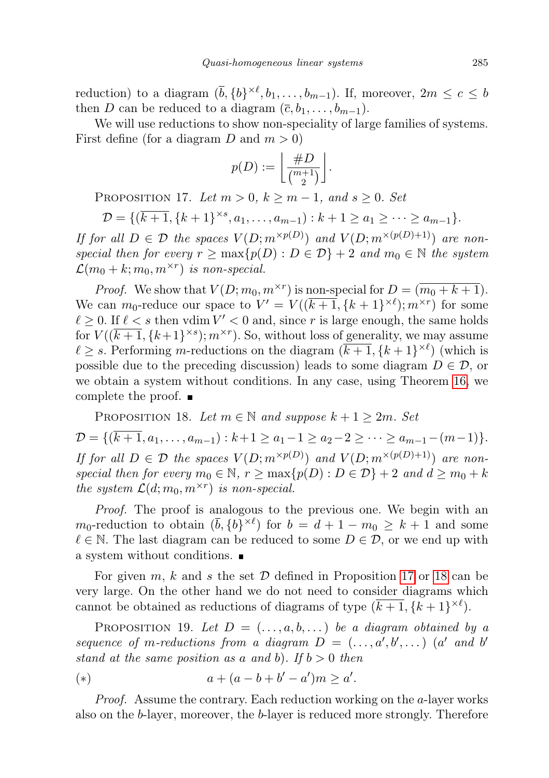reduction) to a diagram  $(\bar{b}, \{b\}^{\times \ell}, b_1, \ldots, b_{m-1})$ . If, moreover,  $2m \leq c \leq b$ then D can be reduced to a diagram  $(\bar{c}, b_1, \ldots, b_{m-1})$ .

We will use reductions to show non-speciality of large families of systems. First define (for a diagram D and  $m > 0$ )

$$
p(D) := \left\lfloor \frac{\#D}{\binom{m+1}{2}} \right\rfloor.
$$

<span id="page-8-0"></span>PROPOSITION 17. Let  $m > 0$ ,  $k \ge m - 1$ , and  $s \ge 0$ . Set

$$
\mathcal{D} = \{(\overline{k+1}, \{k+1\}^{\times s}, a_1, \dots, a_{m-1}): k+1 \ge a_1 \ge \dots \ge a_{m-1}\}.
$$

If for all  $D \in \mathcal{D}$  the spaces  $V(D; m^{\times p(D)})$  and  $V(D; m^{\times (p(D)+1)})$  are nonspecial then for every  $r \ge \max\{p(D) : D \in \mathcal{D}\} + 2$  and  $m_0 \in \mathbb{N}$  the system  $\mathcal{L}(m_0+k;m_0,m^{\times r})$  is non-special.

*Proof.* We show that  $V(D; m_0, m^{\times r})$  is non-special for  $D = (m_0 + k + 1)$ . We can  $m_0$ -reduce our space to  $V' = V((\overline{k+1}, \{k+1\}^{\times \ell}); m^{\times r})$  for some  $\ell \geq 0$ . If  $\ell < s$  then vdim  $V' < 0$  and, since r is large enough, the same holds for  $V((\overline{k+1}, \{k+1\}^{\times s}); m^{\times r})$ . So, without loss of generality, we may assume  $\ell \geq s$ . Performing m-reductions on the diagram  $(\overline{k+1}, \{k+1\}^{\times \ell})$  (which is possible due to the preceding discussion) leads to some diagram  $D \in \mathcal{D}$ , or we obtain a system without conditions. In any case, using Theorem [16,](#page-7-0) we complete the proof.

<span id="page-8-1"></span>PROPOSITION 18. Let  $m \in \mathbb{N}$  and suppose  $k + 1 \geq 2m$ . Set  $\mathcal{D} = \{(\overline{k+1}, a_1, \ldots, a_{m-1}): k+1 \ge a_1-1 \ge a_2-2 \ge \cdots \ge a_{m-1}-(m-1)\}.$ If for all  $D \in \mathcal{D}$  the spaces  $V(D; m^{\times p(D)})$  and  $V(D; m^{\times (p(D)+1)})$  are nonspecial then for every  $m_0 \in \mathbb{N}$ ,  $r \ge \max\{p(D) : D \in \mathcal{D}\} + 2$  and  $d \ge m_0 + k$ the system  $\mathcal{L}(d; m_0, m^{\times r})$  is non-special.

Proof. The proof is analogous to the previous one. We begin with an  $m_0$ -reduction to obtain  $(\bar{b}, \{b\}^{\times \ell})$  for  $b = d + 1 - m_0 \geq k + 1$  and some  $\ell \in \mathbb{N}$ . The last diagram can be reduced to some  $D \in \mathcal{D}$ , or we end up with a system without conditions.

For given m, k and s the set  $D$  defined in Proposition [17](#page-8-0) or [18](#page-8-1) can be very large. On the other hand we do not need to consider diagrams which cannot be obtained as reductions of diagrams of type  $(\overline{k+1}, \{k+1\}^{\times \ell})$ .

PROPOSITION 19. Let  $D = (\ldots, a, b, \ldots)$  be a diagram obtained by a sequence of m-reductions from a diagram  $D = (\ldots, a', b', \ldots)$  (a' and b' stand at the same position as a and b). If  $b > 0$  then

<span id="page-8-2"></span>(\*) 
$$
a + (a - b + b' - a')m \ge a'.
$$

Proof. Assume the contrary. Each reduction working on the a-layer works also on the b-layer, moreover, the b-layer is reduced more strongly. Therefore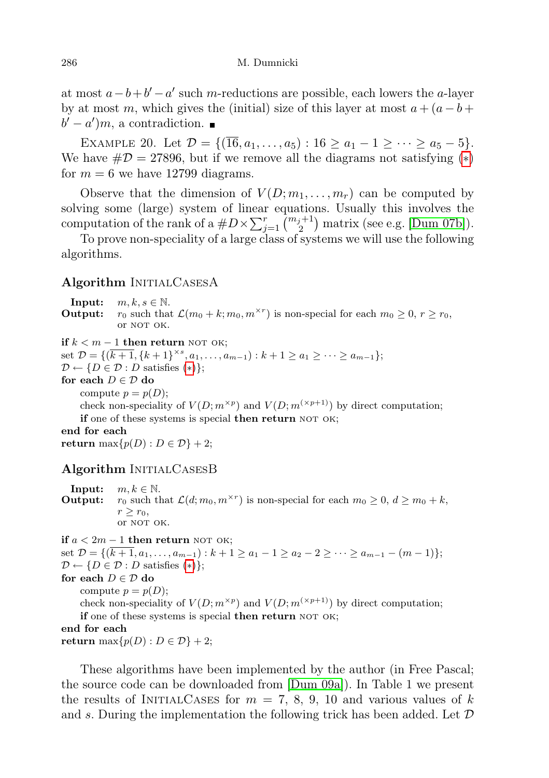at most  $a - b + b' - a'$  such m-reductions are possible, each lowers the a-layer by at most m, which gives the (initial) size of this layer at most  $a + (a - b +$  $b' - a'$ , a contradiction.

EXAMPLE 20. Let  $\mathcal{D} = \{(\overline{16}, a_1, \ldots, a_5) : 16 \ge a_1 - 1 \ge \cdots \ge a_5 - 5\}.$ We have  $\#\mathcal{D} = 27896$ , but if we remove all the diagrams not satisfying  $(*)$ for  $m = 6$  we have 12799 diagrams.

Observe that the dimension of  $V(D; m_1, \ldots, m_r)$  can be computed by solving some (large) system of linear equations. Usually this involves the computation of the rank of a  $\#D \times \sum_{j=1}^r \binom{m_j+1}{2}$  matrix (see e.g. [\[Dum 07b\]](#page-22-2)).

To prove non-speciality of a large class of systems we will use the following algorithms.

## Algorithm INITIALCASESA

**Input:**  $m, k, s \in \mathbb{N}$ . **Output:**  $r_0$  such that  $\mathcal{L}(m_0 + k; m_0, m^{\times r})$  is non-special for each  $m_0 \geq 0, r \geq r_0$ , or NOT OK.

```
if k < m − 1 then return NOT OK;
```
set  $\mathcal{D} = \{(\overline{k+1}, \{k+1\}^{\times s}, a_1, \ldots, a_{m-1}): k+1 \ge a_1 \ge \cdots \ge a_{m-1}\};$ 

 $\mathcal{D} \leftarrow \{D \in \mathcal{D} : D \text{ satisfies } (*)\};$ 

for each  $D \in \mathcal{D}$  do

compute  $p = p(D)$ ;

check non-speciality of  $V(D; m^{\times p})$  and  $V(D; m^{(\times p+1)})$  by direct computation; if one of these systems is special then return NOT OK;

end for each

return max $\{p(D) : D \in \mathcal{D}\}$  + 2;

# Algorithm INITIALCASESB

**Input:**  $m, k \in \mathbb{N}$ .<br>**Output:**  $r_0$  such then **Output:**  $r_0$  such that  $\mathcal{L}(d; m_0, m^{\times r})$  is non-special for each  $m_0 \geq 0, d \geq m_0 + k$ ,  $r \geq r_0$ , or NOT OK.

if  $a < 2m − 1$  then return NOT OK; set  $\mathcal{D} = \{(\overline{k+1}, a_1, \ldots, a_{m-1}): k+1 \ge a_1 - 1 \ge a_2 - 2 \ge \cdots \ge a_{m-1} - (m-1)\};$  $\mathcal{D} \leftarrow \{D \in \mathcal{D} : D \text{ satisfies } (*)\};$ for each  $D \in \mathcal{D}$  do compute  $p = p(D)$ ; check non-speciality of  $V(D; m^{\times p})$  and  $V(D; m^{(\times p+1)})$  by direct computation; if one of these systems is special then return NOT OK; end for each return max $\{p(D): D \in \mathcal{D}\}+2;$ 

These algorithms have been implemented by the author (in Free Pascal; the source code can be downloaded from [\[Dum 09a\]](#page-23-12)). In Table 1 we present the results of INITIALCASES for  $m = 7, 8, 9, 10$  and various values of k and s. During the implementation the following trick has been added. Let  $D$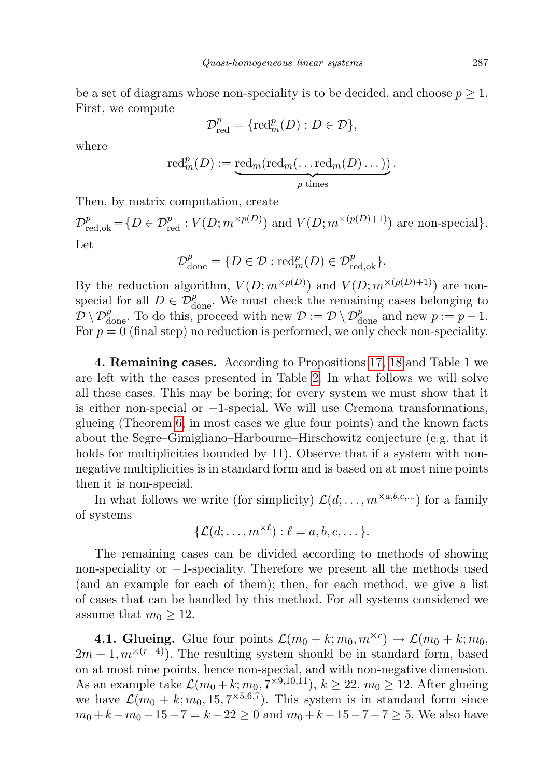be a set of diagrams whose non-speciality is to be decided, and choose  $p \geq 1$ . First, we compute

$$
\mathcal{D}^p_{\mathrm{red}}=\{\mathrm{red}_m^p(D):D\in\mathcal{D}\},
$$

where

$$
\mathrm{red}_m^p(D):=\underbrace{\mathrm{red}_m(\mathrm{red}_m(\ldots \mathrm{red}_m(D)\ldots))}_{p \text{ times}}.
$$

Then, by matrix computation, create

 $\mathcal{D}_{\text{red}, \text{ok}}^p = \{ D \in \mathcal{D}_{\text{red}}^p : V(D; m^{\times p(D)}) \text{ and } V(D; m^{\times (p(D)+1)}) \text{ are non-special} \}.$ Let

$$
\mathcal{D}^p_{\text{done}} = \{ D \in \mathcal{D} : \text{red}^p_m(D) \in \mathcal{D}^p_{\text{red,ok}} \}.
$$

By the reduction algorithm,  $V(D; m^{\times p(D)})$  and  $V(D; m^{\times (p(D)+1)})$  are nonspecial for all  $D \in \mathcal{D}_{\text{done}}^p$ . We must check the remaining cases belonging to  $\mathcal{D} \setminus \mathcal{D}_{\text{done}}^p$ . To do this, proceed with new  $\mathcal{D} := \mathcal{D} \setminus \mathcal{D}_{\text{done}}^p$  and new  $p := p - 1$ . For  $p = 0$  (final step) no reduction is performed, we only check non-speciality.

4. Remaining cases. According to Propositions [17,](#page-8-0) [18](#page-8-1) and Table 1 we are left with the cases presented in Table [2.](#page-21-0) In what follows we will solve all these cases. This may be boring; for every system we must show that it is either non-special or −1-special. We will use Cremona transformations, glueing (Theorem [6;](#page-3-1) in most cases we glue four points) and the known facts about the Segre–Gimigliano–Harbourne–Hirschowitz conjecture (e.g. that it holds for multiplicities bounded by 11). Observe that if a system with nonnegative multiplicities is in standard form and is based on at most nine points then it is non-special.

In what follows we write (for simplicity)  $\mathcal{L}(d; \ldots, m^{\times a,b,c,\ldots})$  for a family of systems

$$
\{\mathcal{L}(d; \ldots, m^{\times \ell}) : \ell = a, b, c, \ldots\}.
$$

The remaining cases can be divided according to methods of showing non-speciality or −1-speciality. Therefore we present all the methods used (and an example for each of them); then, for each method, we give a list of cases that can be handled by this method. For all systems considered we assume that  $m_0 \geq 12$ .

**4.1. Glueing.** Glue four points  $\mathcal{L}(m_0 + k; m_0, m^{\times r}) \to \mathcal{L}(m_0 + k; m_0, m^{\times r})$  $2m + 1, m^{\times (r-4)}$ . The resulting system should be in standard form, based on at most nine points, hence non-special, and with non-negative dimension. As an example take  $\mathcal{L}(m_0+k; m_0, 7^{\times 9,10,11}), k \geq 22, m_0 \geq 12$ . After glueing we have  $\mathcal{L}(m_0 + k; m_0, 15, 7^{\times 5, 6, 7})$ . This system is in standard form since  $m_0 + k - m_0 - 15 - 7 = k - 22 \ge 0$  and  $m_0 + k - 15 - 7 - 7 \ge 5$ . We also have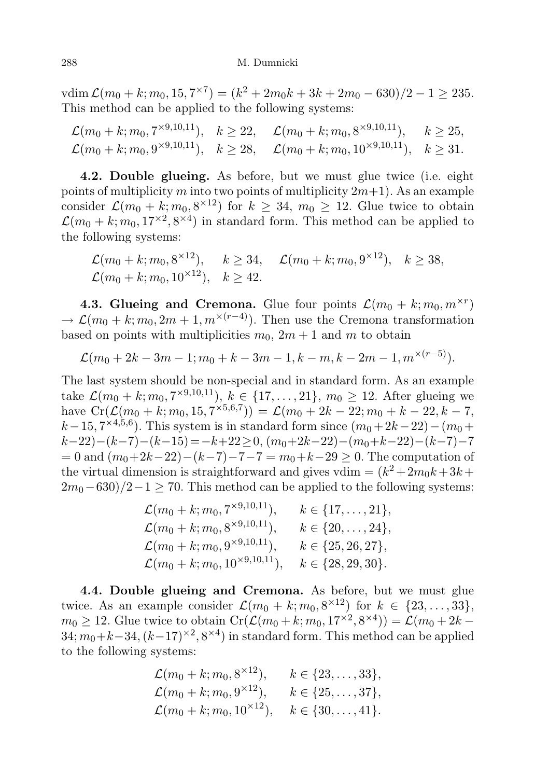$\text{vdim}\,\mathcal{L}(m_0+k;m_0,15,7^{\times 7}) = (k^2+2m_0k+3k+2m_0-630)/2-1 \geq 235.$ This method can be applied to the following systems:

 $\mathcal{L}(m_0+k; m_0, 7^{\times 9,10,11}), \quad k \geq 22, \quad \mathcal{L}(m_0+k; m_0, 8^{\times 9,10,11}), \quad k \geq 25,$  $\mathcal{L}(m_0 + k; m_0, 9^{\times 9, 10, 11}), \quad k \ge 28, \quad \mathcal{L}(m_0 + k; m_0, 10^{\times 9, 10, 11}), \quad k \ge 31.$ 

4.2. Double glueing. As before, but we must glue twice (i.e. eight points of multiplicity m into two points of multiplicity  $2m+1$ ). As an example consider  $\mathcal{L}(m_0 + k; m_0, 8^{\times 12})$  for  $k \geq 34, m_0 \geq 12$ . Glue twice to obtain  $\mathcal{L}(m_0 + k; m_0, 17^{\times 2}, 8^{\times 4})$  in standard form. This method can be applied to the following systems:

 $\mathcal{L}(m_0+k; m_0, 8^{\times 12}), \quad k \geq 34, \quad \mathcal{L}(m_0+k; m_0, 9^{\times 12}), \quad k \geq 38,$  $\mathcal{L}(m_0 + k; m_0, 10^{\times 12})$ ,  $k > 42$ .

4.3. Glueing and Cremona. Glue four points  $\mathcal{L}(m_0 + k; m_0, m^{\times r})$  $\rightarrow \mathcal{L}(m_0 + k; m_0, 2m + 1, m^{\times (r-4)})$ . Then use the Cremona transformation based on points with multiplicities  $m_0$ ,  $2m + 1$  and m to obtain

$$
\mathcal{L}(m_0+2k-3m-1;m_0+k-3m-1,k-m,k-2m-1,m^{\times(r-5)}).
$$

The last system should be non-special and in standard form. As an example take  $\mathcal{L}(m_0 + k; m_0, 7^{\times 9, 10, 11}), k \in \{17, ..., 21\}, m_0 \ge 12$ . After glueing we have  $\text{Cr}(\mathcal{L}(m_0+k; m_0, 15, 7^{\times 5,6,7})) = \mathcal{L}(m_0 + 2k - 22; m_0 + k - 22, k - 7,$  $k-15, 7^{\times 4,5,6}$ ). This system is in standard form since  $(m_0+2k-22)-(m_0+$  $(k-22)-(k-7)-(k-15)=-k+22\geq 0,$   $(m_0+2k-22)-(m_0+k-22)-(k-7)-7$  $= 0$  and  $(m_0+2k-22)-(k-7)-7-7 = m_0+k-29 \ge 0$ . The computation of the virtual dimension is straightforward and gives vdim  $= (k^2 + 2m_0k + 3k +$  $2m_0-630/2-1 \geq 70$ . This method can be applied to the following systems:

| $\mathcal{L}(m_0+k; m_0, 7^{\times 9,10,11}),$  | $k \in \{17, \ldots, 21\},\$ |
|-------------------------------------------------|------------------------------|
| $\mathcal{L}(m_0+k; m_0, 8^{\times 9,10,11}),$  | $k \in \{20, \ldots, 24\},\$ |
| $\mathcal{L}(m_0+k; m_0, 9^{\times 9,10,11}),$  | $k \in \{25, 26, 27\},\$     |
| $\mathcal{L}(m_0+k; m_0, 10^{\times 9,10,11}),$ | $k \in \{28, 29, 30\}.$      |

4.4. Double glueing and Cremona. As before, but we must glue twice. As an example consider  $\mathcal{L}(m_0 + k; m_0, 8^{\times 12})$  for  $k \in \{23, ..., 33\},\$  $m_0 \geq 12$ . Glue twice to obtain  $Cr(\mathcal{L}(m_0+k; m_0, 17^{\times 2}, 8^{\times 4})) = \mathcal{L}(m_0 + 2k - 1)$  $34; m_0+k-34, (k-17)^{\times 2}, 8^{\times 4})$  in standard form. This method can be applied to the following systems:

$$
\mathcal{L}(m_0+k; m_0, 8^{\times 12}), \qquad k \in \{23, \dots, 33\},
$$
  
\n
$$
\mathcal{L}(m_0+k; m_0, 9^{\times 12}), \qquad k \in \{25, \dots, 37\},
$$
  
\n
$$
\mathcal{L}(m_0+k; m_0, 10^{\times 12}), \qquad k \in \{30, \dots, 41\}.
$$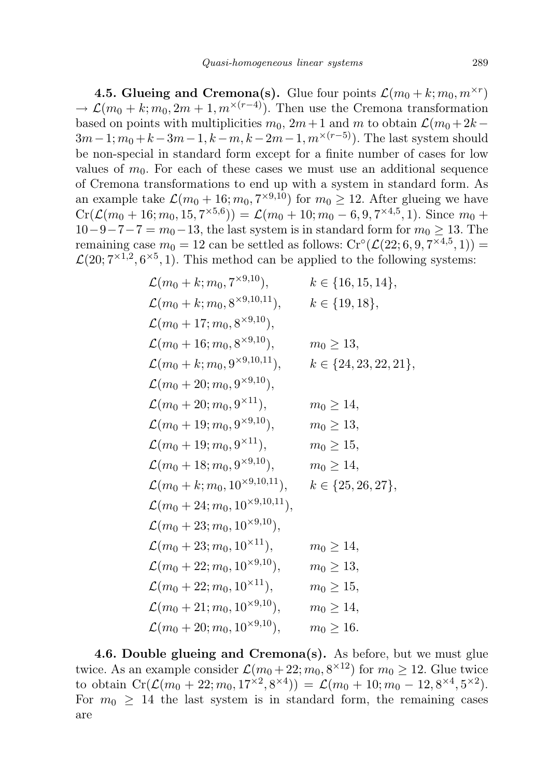4.5. Glueing and Cremona(s). Glue four points  $\mathcal{L}(m_0 + k; m_0, m^{\times r})$  $\rightarrow \mathcal{L}(m_0 + k; m_0, 2m + 1, m^{\times (r-4)})$ . Then use the Cremona transformation based on points with multiplicities  $m_0$ ,  $2m+1$  and m to obtain  $\mathcal{L}(m_0 + 2k - 1)$  $3m-1; m_0+k-3m-1, k-m, k-2m-1, m^{\times(r-5)}$ ). The last system should be non-special in standard form except for a finite number of cases for low values of  $m_0$ . For each of these cases we must use an additional sequence of Cremona transformations to end up with a system in standard form. As an example take  $\mathcal{L}(m_0 + 16; m_0, 7^{\times 9, 10})$  for  $m_0 \geq 12$ . After glueing we have  $Cr(\mathcal{L}(m_0+16; m_0, 15, 7^{\times 5,6})) = \mathcal{L}(m_0+10; m_0-6, 9, 7^{\times 4,5}, 1).$  Since  $m_0 +$  $10-9-7-7=m_0-13$ , the last system is in standard form for  $m_0 \ge 13$ . The remaining case  $m_0 = 12$  can be settled as follows:  $\mathrm{Cr}^\circ(\mathcal{L}(22; 6, 9, 7^{\times 4,5}, 1)) =$  $\mathcal{L}(20; 7^{\times 1,2}, 6^{\times 5}, 1)$ . This method can be applied to the following systems:

$$
\mathcal{L}(m_0 + k; m_0, 7^{\times 9,10}), \qquad k \in \{16, 15, 14\},
$$
  
\n
$$
\mathcal{L}(m_0 + k; m_0, 8^{\times 9,10,11}), \qquad k \in \{19, 18\},
$$
  
\n
$$
\mathcal{L}(m_0 + 16; m_0, 8^{\times 9,10}), \qquad m_0 \ge 13,
$$
  
\n
$$
\mathcal{L}(m_0 + k; m_0, 9^{\times 9,10,11}), \qquad k \in \{24, 23, 22, 21\},
$$
  
\n
$$
\mathcal{L}(m_0 + 20; m_0, 9^{\times 9,10}), \qquad m_0 \ge 14,
$$
  
\n
$$
\mathcal{L}(m_0 + 19; m_0, 9^{\times 9,10}), \qquad m_0 \ge 13,
$$
  
\n
$$
\mathcal{L}(m_0 + 19; m_0, 9^{\times 9,10}), \qquad m_0 \ge 13,
$$
  
\n
$$
\mathcal{L}(m_0 + 18; m_0, 9^{\times 9,10}), \qquad m_0 \ge 15,
$$
  
\n
$$
\mathcal{L}(m_0 + k; m_0, 10^{\times 9,10,11}), \qquad k \in \{25, 26, 27\},
$$
  
\n
$$
\mathcal{L}(m_0 + 24; m_0, 10^{\times 9,10,11}), \qquad k \in \{25, 26, 27\},
$$
  
\n
$$
\mathcal{L}(m_0 + 23; m_0, 10^{\times 9,10}), \qquad m_0 \ge 14,
$$
  
\n
$$
\mathcal{L}(m_0 + 22; m_0, 10^{\times 9,10}), \qquad m_0 \ge 13,
$$
  
\n
$$
\mathcal{L}(m_0 + 22; m_0, 10^{\times 9,10}), \qquad m_0 \ge 13,
$$
  
\n
$$
\mathcal{L}(m_0 + 22; m_0, 10^{\times 9,10}), \qquad m_0 \ge 14,
$$

4.6. Double glueing and Cremona(s). As before, but we must glue twice. As an example consider  $\mathcal{L}(m_0+22; m_0, 8^{\times 12})$  for  $m_0 \geq 12$ . Glue twice to obtain  $Cr(\mathcal{L}(m_0+22;m_0,17^{\times2},8^{\times4})) = \mathcal{L}(m_0+10;m_0-12,8^{\times4},5^{\times2}).$ For  $m_0 \geq 14$  the last system is in standard form, the remaining cases are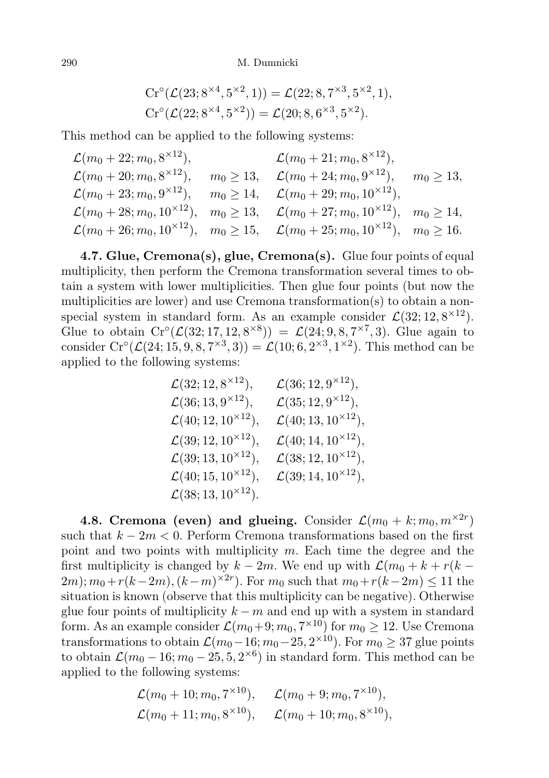$$
Cr^{\circ}(\mathcal{L}(23; 8^{\times 4}, 5^{\times 2}, 1)) = \mathcal{L}(22; 8, 7^{\times 3}, 5^{\times 2}, 1),
$$
  
\n
$$
Cr^{\circ}(\mathcal{L}(22; 8^{\times 4}, 5^{\times 2})) = \mathcal{L}(20; 8, 6^{\times 3}, 5^{\times 2}).
$$

This method can be applied to the following systems:

| $\mathcal{L}(m_0+22; m_0, 8^{\times 12}),$                                                                    | $\mathcal{L}(m_0+21; m_0, 8^{\times 12}),$                                                                                          |  |
|---------------------------------------------------------------------------------------------------------------|-------------------------------------------------------------------------------------------------------------------------------------|--|
| $\mathcal{L}(m_0+20; m_0, 8^{\times 12}),$                                                                    | $m_0 \ge 13$ , $\mathcal{L}(m_0 + 24; m_0, 9^{\times 12})$ , $m_0 \ge 13$ ,                                                         |  |
| $\mathcal{L}(m_0+23; m_0, 9^{\times 12}), \quad m_0 \geq 14, \quad \mathcal{L}(m_0+29; m_0, 10^{\times 12}),$ |                                                                                                                                     |  |
|                                                                                                               | $\mathcal{L}(m_0+28; m_0, 10^{\times 12}), \quad m_0 \geq 13, \quad \mathcal{L}(m_0+27; m_0, 10^{\times 12}), \quad m_0 \geq 14,$   |  |
|                                                                                                               | $\mathcal{L}(m_0 + 26; m_0, 10^{\times 12}), \quad m_0 \ge 15, \quad \mathcal{L}(m_0 + 25; m_0, 10^{\times 12}), \quad m_0 \ge 16.$ |  |

4.7. Glue, Cremona(s), glue, Cremona(s). Glue four points of equal multiplicity, then perform the Cremona transformation several times to obtain a system with lower multiplicities. Then glue four points (but now the multiplicities are lower) and use Cremona transformation(s) to obtain a nonspecial system in standard form. As an example consider  $\mathcal{L}(32; 12, 8^{\times 12})$ . Glue to obtain  $Cr^{\circ}(\mathcal{L}(32; 17, 12, 8^{\times 8})) = \mathcal{L}(24; 9, 8, 7^{\times 7}, 3)$ . Glue again to consider  $Cr^{\circ}(\mathcal{L}(24; 15, 9, 8, 7^{\times 3}, 3)) = \mathcal{L}(10; 6, 2^{\times 3}, 1^{\times 2})$ . This method can be applied to the following systems:

| $\mathcal{L}(32; 12, 8^{\times 12}),$  | $\mathcal{L}(36; 12, 9^{\times 12}),$  |
|----------------------------------------|----------------------------------------|
| $\mathcal{L}(36; 13, 9^{\times 12}),$  | $\mathcal{L}(35; 12, 9^{\times 12}),$  |
| $\mathcal{L}(40; 12, 10^{\times 12}),$ | $\mathcal{L}(40; 13, 10^{\times 12}),$ |
| $\mathcal{L}(39; 12, 10^{\times 12}),$ | $\mathcal{L}(40; 14, 10^{\times 12}),$ |
| $\mathcal{L}(39; 13, 10^{\times 12}),$ | $\mathcal{L}(38; 12, 10^{\times 12}),$ |
| $\mathcal{L}(40; 15, 10^{\times 12}),$ | $\mathcal{L}(39; 14, 10^{\times 12}),$ |
| $\mathcal{L}(38; 13, 10^{\times 12}).$ |                                        |

4.8. Cremona (even) and glueing. Consider  $\mathcal{L}(m_0 + k; m_0, m^{\times 2r})$ such that  $k - 2m < 0$ . Perform Cremona transformations based on the first point and two points with multiplicity  $m$ . Each time the degree and the first multiplicity is changed by  $k - 2m$ . We end up with  $\mathcal{L}(m_0 + k + r(k (2m)$ ;  $m_0 + r(k-2m)$ ,  $(k-m)^{\times 2r}$ ). For  $m_0$  such that  $m_0 + r(k-2m) \leq 11$  the situation is known (observe that this multiplicity can be negative). Otherwise glue four points of multiplicity  $k - m$  and end up with a system in standard form. As an example consider  $\mathcal{L}(m_0+9; m_0, 7^{\times 10})$  for  $m_0 \geq 12$ . Use Cremona transformations to obtain  $\mathcal{L}(m_0-16; m_0-25, 2^{\times 10})$ . For  $m_0 \geq 37$  glue points to obtain  $\mathcal{L}(m_0 - 16; m_0 - 25, 5, 2^{\times 6})$  in standard form. This method can be applied to the following systems:

$$
\mathcal{L}(m_0 + 10; m_0, 7^{\times 10}),
$$
  $\mathcal{L}(m_0 + 9; m_0, 7^{\times 10}),$   
\n $\mathcal{L}(m_0 + 11; m_0, 8^{\times 10}),$   $\mathcal{L}(m_0 + 10; m_0, 8^{\times 10}),$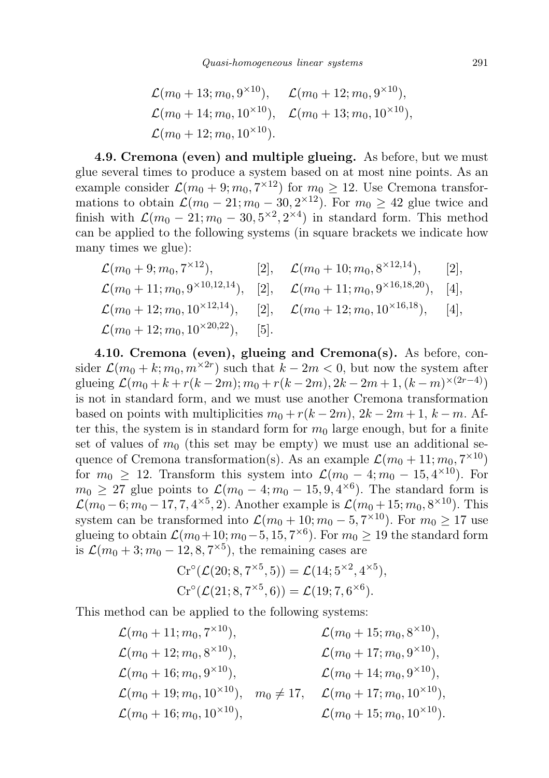$$
\mathcal{L}(m_0 + 13; m_0, 9^{\times 10}), \quad \mathcal{L}(m_0 + 12; m_0, 9^{\times 10}),
$$
  
\n $\mathcal{L}(m_0 + 14; m_0, 10^{\times 10}), \quad \mathcal{L}(m_0 + 13; m_0, 10^{\times 10}),$   
\n $\mathcal{L}(m_0 + 12; m_0, 10^{\times 10}).$ 

4.9. Cremona (even) and multiple glueing. As before, but we must glue several times to produce a system based on at most nine points. As an example consider  $\mathcal{L}(m_0 + 9; m_0, 7^{\times 12})$  for  $m_0 \geq 12$ . Use Cremona transformations to obtain  $\mathcal{L}(m_0 - 21; m_0 - 30, 2^{\times 12})$ . For  $m_0 \geq 42$  glue twice and finish with  $\mathcal{L}(m_0 - 21; m_0 - 30, 5^{\times 2}, 2^{\times 4})$  in standard form. This method can be applied to the following systems (in square brackets we indicate how many times we glue):

$$
\mathcal{L}(m_0+9; m_0, 7^{\times 12}), \qquad [2], \quad \mathcal{L}(m_0+10; m_0, 8^{\times 12,14}), \qquad [2],\n\mathcal{L}(m_0+11; m_0, 9^{\times 10,12,14}), \qquad [2], \qquad \mathcal{L}(m_0+11; m_0, 9^{\times 16,18,20}), \qquad [4],\n\mathcal{L}(m_0+12; m_0, 10^{\times 12,14}), \qquad [2], \qquad \mathcal{L}(m_0+12; m_0, 10^{\times 16,18}), \qquad [4],\n\mathcal{L}(m_0+12; m_0, 10^{\times 20,22}), \qquad [5].
$$

4.10. Cremona (even), glueing and Cremona(s). As before, consider  $\mathcal{L}(m_0 + k; m_0, m^{\times 2r})$  such that  $k - 2m < 0$ , but now the system after glueing  $\mathcal{L}(m_0 + k + r(k-2m); m_0 + r(k-2m), 2k - 2m + 1, (k-m)^{\times (2r-4)})$ is not in standard form, and we must use another Cremona transformation based on points with multiplicities  $m_0 + r(k-2m)$ ,  $2k-2m+1$ ,  $k-m$ . After this, the system is in standard form for  $m_0$  large enough, but for a finite set of values of  $m_0$  (this set may be empty) we must use an additional sequence of Cremona transformation(s). As an example  $\mathcal{L}(m_0+11; m_0, 7^{\times 10})$ for  $m_0 \geq 12$ . Transform this system into  $\mathcal{L}(m_0 - 4; m_0 - 15, 4^{\times 10})$ . For  $m_0 \geq 27$  glue points to  $\mathcal{L}(m_0 - 4; m_0 - 15, 9, 4^{\times 6})$ . The standard form is  $\mathcal{L}(m_0 - 6; m_0 - 17, 7, 4^{\times 5}, 2)$ . Another example is  $\mathcal{L}(m_0 + 15; m_0, 8^{\times 10})$ . This system can be transformed into  $\mathcal{L}(m_0+10; m_0-5, 7^{\times 10})$ . For  $m_0 \geq 17$  use glueing to obtain  $\mathcal{L}(m_0+10; m_0-5, 15, 7^{\times 6})$ . For  $m_0 \geq 19$  the standard form is  $\mathcal{L}(m_0+3; m_0-12, 8, 7^{\times 5})$ , the remaining cases are

$$
Cr^{\circ}(\mathcal{L}(20; 8, 7^{\times 5}, 5)) = \mathcal{L}(14; 5^{\times 2}, 4^{\times 5}),
$$
  
\n
$$
Cr^{\circ}(\mathcal{L}(21; 8, 7^{\times 5}, 6)) = \mathcal{L}(19; 7, 6^{\times 6}).
$$

This method can be applied to the following systems:

$$
\mathcal{L}(m_0 + 11; m_0, 7^{\times 10}), \qquad \mathcal{L}(m_0 + 15; m_0, 8^{\times 10}),
$$
  
\n
$$
\mathcal{L}(m_0 + 12; m_0, 8^{\times 10}), \qquad \mathcal{L}(m_0 + 17; m_0, 9^{\times 10}),
$$
  
\n
$$
\mathcal{L}(m_0 + 16; m_0, 9^{\times 10}), \qquad \mathcal{L}(m_0 + 14; m_0, 9^{\times 10}),
$$
  
\n
$$
\mathcal{L}(m_0 + 19; m_0, 10^{\times 10}), \qquad m_0 \neq 17, \qquad \mathcal{L}(m_0 + 17; m_0, 10^{\times 10}),
$$
  
\n
$$
\mathcal{L}(m_0 + 16; m_0, 10^{\times 10}), \qquad \mathcal{L}(m_0 + 15; m_0, 10^{\times 10}).
$$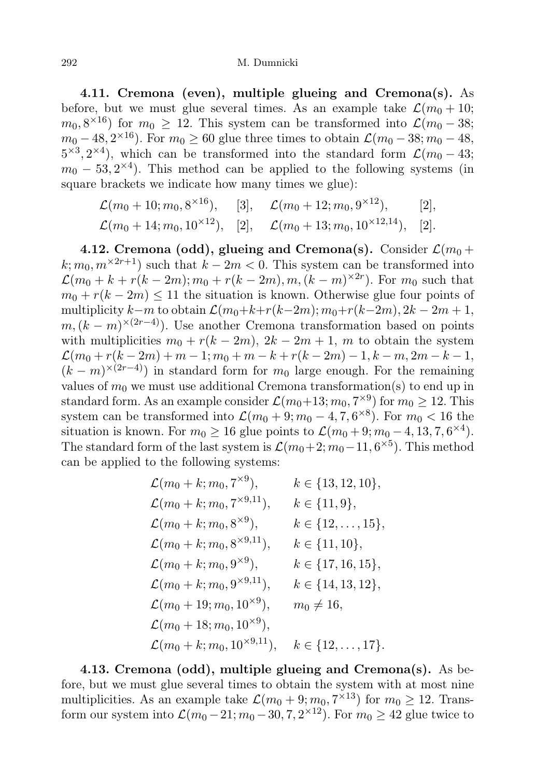#### 292 M. Dumnicki

4.11. Cremona (even), multiple glueing and Cremona(s). As before, but we must glue several times. As an example take  $\mathcal{L}(m_0+10;$  $m_0, 8^{\times 16}$ ) for  $m_0 \geq 12$ . This system can be transformed into  $\mathcal{L}(m_0 - 38;$  $m_0 - 48, 2^{\times 16}$ ). For  $m_0 \ge 60$  glue three times to obtain  $\mathcal{L}(m_0 - 38; m_0 - 48,$  $5^{\times 3}$ ,  $2^{\times 4}$ ), which can be transformed into the standard form  $\mathcal{L}(m_0 - 43;$  $m_0 - 53, 2^{\times 4}$ ). This method can be applied to the following systems (in square brackets we indicate how many times we glue):

$$
\mathcal{L}(m_0 + 10; m_0, 8^{\times 16}),
$$
 [3],  $\mathcal{L}(m_0 + 12; m_0, 9^{\times 12}),$  [2],  
 $\mathcal{L}(m_0 + 14; m_0, 10^{\times 12}),$  [2],  $\mathcal{L}(m_0 + 13; m_0, 10^{\times 12,14}),$  [2].

4.12. Cremona (odd), glueing and Cremona(s). Consider  $\mathcal{L}(m_0 +$  $k; m_0, m^{\times 2r+1}$  such that  $k - 2m < 0$ . This system can be transformed into  $\mathcal{L}(m_0 + k + r(k-2m); m_0 + r(k-2m), m, (k-m)^{\times 2r})$ . For  $m_0$  such that  $m_0 + r(k - 2m) \le 11$  the situation is known. Otherwise glue four points of multiplicity k−m to obtain  $\mathcal{L}(m_0+k+r(k-2m); m_0+r(k-2m), 2k-2m+1,$  $m,(k-m)^{\times(2r-4)}$ . Use another Cremona transformation based on points with multiplicities  $m_0 + r(k - 2m)$ ,  $2k - 2m + 1$ , m to obtain the system  $\mathcal{L}(m_0 + r(k-2m) + m - 1; m_0 + m - k + r(k-2m) - 1, k - m, 2m - k - 1,$  $(k-m)^{\times(2r-4)}$  in standard form for  $m_0$  large enough. For the remaining values of  $m_0$  we must use additional Cremona transformation(s) to end up in standard form. As an example consider  $\mathcal{L}(m_0+13; m_0, 7^{\times 9})$  for  $m_0 \geq 12$ . This system can be transformed into  $\mathcal{L}(m_0 + 9; m_0 - 4, 7, 6^{\times 8})$ . For  $m_0 < 16$  the situation is known. For  $m_0 \ge 16$  glue points to  $\mathcal{L}(m_0 + 9; m_0 - 4, 13, 7, 6^{\times 4})$ . The standard form of the last system is  $\mathcal{L}(m_0+2; m_0-11, 6^{\times 5})$ . This method can be applied to the following systems:

$$
\mathcal{L}(m_0 + k; m_0, 7^{\times 9}), \qquad k \in \{13, 12, 10\},
$$
  
\n
$$
\mathcal{L}(m_0 + k; m_0, 7^{\times 9,11}), \qquad k \in \{11, 9\},
$$
  
\n
$$
\mathcal{L}(m_0 + k; m_0, 8^{\times 9}), \qquad k \in \{12, ..., 15\},
$$
  
\n
$$
\mathcal{L}(m_0 + k; m_0, 8^{\times 9,11}), \qquad k \in \{11, 10\},
$$
  
\n
$$
\mathcal{L}(m_0 + k; m_0, 9^{\times 9}), \qquad k \in \{17, 16, 15\},
$$
  
\n
$$
\mathcal{L}(m_0 + k; m_0, 9^{\times 9,11}), \qquad k \in \{14, 13, 12\},
$$
  
\n
$$
\mathcal{L}(m_0 + 19; m_0, 10^{\times 9}), \qquad m_0 \neq 16,
$$
  
\n
$$
\mathcal{L}(m_0 + 18; m_0, 10^{\times 9}), \qquad m_0 \neq 16,
$$
  
\n
$$
\mathcal{L}(m_0 + k; m_0, 10^{\times 9}), \qquad k \in \{12, ..., 17\}.
$$

4.13. Cremona (odd), multiple glueing and Cremona(s). As before, but we must glue several times to obtain the system with at most nine multiplicities. As an example take  $\mathcal{L}(m_0 + 9; m_0, 7^{\times 13})$  for  $m_0 \geq 12$ . Transform our system into  $\mathcal{L}(m_0 - 21; m_0 - 30, 7, 2^{\times 12})$ . For  $m_0 \geq 42$  glue twice to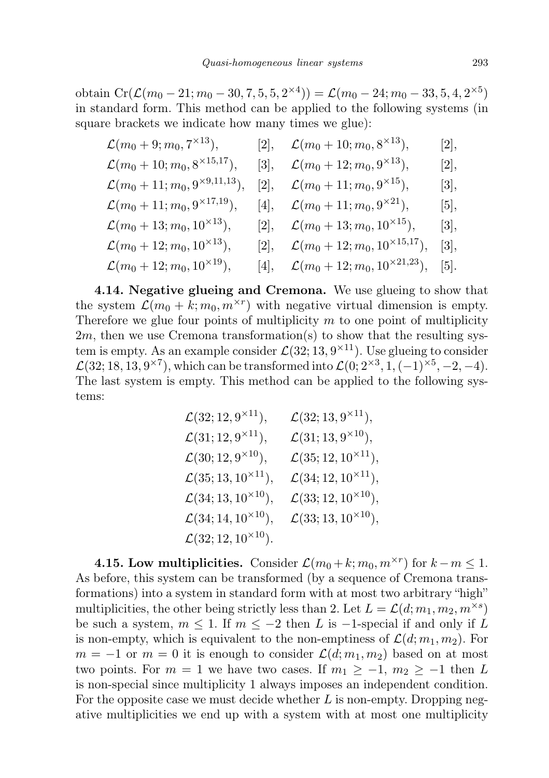obtain Cr( $\mathcal{L}(m_0 - 21; m_0 - 30, 7, 5, 5, 2^{\times 4})) = \mathcal{L}(m_0 - 24; m_0 - 33, 5, 4, 2^{\times 5})$ in standard form. This method can be applied to the following systems (in square brackets we indicate how many times we glue):

| $\mathcal{L}(m_0+9; m_0, 7^{\times 13}),$       | [2], | $\mathcal{L}(m_0+10; m_0, 8^{\times 13}),$             | [2], |
|-------------------------------------------------|------|--------------------------------------------------------|------|
| $\mathcal{L}(m_0+10; m_0, 8^{\times 15,17}),$   | [3], | $\mathcal{L}(m_0+12; m_0, 9^{\times 13}),$             | [2], |
| $\mathcal{L}(m_0+11; m_0, 9^{\times 9,11,13}),$ | [2], | $\mathcal{L}(m_0+11; m_0, 9^{\times 15}),$             | [3], |
| $\mathcal{L}(m_0+11; m_0, 9^{\times 17,19}),$   | 4 ,  | $\mathcal{L}(m_0+11; m_0, 9^{\times 21}),$             | 5 ,  |
| $\mathcal{L}(m_0+13;m_0,10^{\times 13}),$       |      | [2], $\mathcal{L}(m_0+13; m_0, 10^{\times 15}),$       | [3], |
| $\mathcal{L}(m_0+12; m_0, 10^{\times 13}),$     | 2 ,  | $\mathcal{L}(m_0+12; m_0, 10^{\times 15,17}),$         | [3], |
| $\mathcal{L}(m_0+12; m_0, 10^{\times 19}),$     |      | [4], $\mathcal{L}(m_0 + 12; m_0, 10^{\times 21, 23}),$ | 5 .  |

4.14. Negative glueing and Cremona. We use glueing to show that the system  $\mathcal{L}(m_0 + k; m_0, m^{\times r})$  with negative virtual dimension is empty. Therefore we glue four points of multiplicity  $m$  to one point of multiplicity  $2m$ , then we use Cremona transformation(s) to show that the resulting system is empty. As an example consider  $\mathcal{L}(32; 13, 9^{\times 11})$ . Use glueing to consider  $\mathcal{L}(32; 18, 13, 9^{\times 7})$ , which can be transformed into  $\mathcal{L}(0; 2^{\times 3}, 1, (-1)^{\times 5}, -2, -4)$ . The last system is empty. This method can be applied to the following systems:

$$
\mathcal{L}(32; 12, 9^{\times 11}), \qquad \mathcal{L}(32; 13, 9^{\times 11}),
$$
  
\n
$$
\mathcal{L}(31; 12, 9^{\times 11}), \qquad \mathcal{L}(31; 13, 9^{\times 10}),
$$
  
\n
$$
\mathcal{L}(30; 12, 9^{\times 10}), \qquad \mathcal{L}(35; 12, 10^{\times 11}),
$$
  
\n
$$
\mathcal{L}(35; 13, 10^{\times 11}), \qquad \mathcal{L}(34; 12, 10^{\times 11}),
$$
  
\n
$$
\mathcal{L}(34; 13, 10^{\times 10}), \qquad \mathcal{L}(33; 12, 10^{\times 10}),
$$
  
\n
$$
\mathcal{L}(32; 12, 10^{\times 10}), \qquad \mathcal{L}(33; 13, 10^{\times 10}),
$$
  
\n
$$
\mathcal{L}(32; 12, 10^{\times 10}).
$$

**4.15. Low multiplicities.** Consider  $\mathcal{L}(m_0 + k; m_0, m^{\times r})$  for  $k - m \leq 1$ . As before, this system can be transformed (by a sequence of Cremona transformations) into a system in standard form with at most two arbitrary "high" multiplicities, the other being strictly less than 2. Let  $L = \mathcal{L}(d; m_1, m_2, m^{\times s})$ be such a system,  $m \leq 1$ . If  $m \leq -2$  then L is -1-special if and only if L is non-empty, which is equivalent to the non-emptiness of  $\mathcal{L}(d; m_1, m_2)$ . For  $m = -1$  or  $m = 0$  it is enough to consider  $\mathcal{L}(d; m_1, m_2)$  based on at most two points. For  $m = 1$  we have two cases. If  $m_1 \geq -1$ ,  $m_2 \geq -1$  then L is non-special since multiplicity 1 always imposes an independent condition. For the opposite case we must decide whether  $L$  is non-empty. Dropping negative multiplicities we end up with a system with at most one multiplicity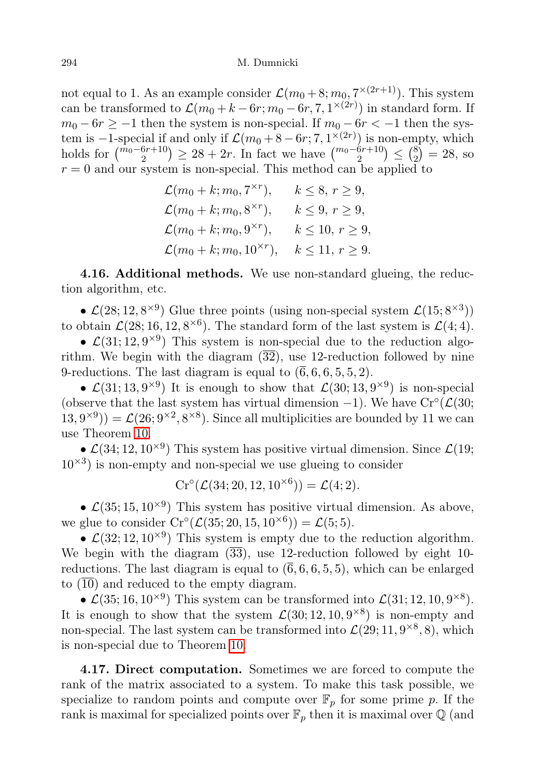not equal to 1. As an example consider  $\mathcal{L}(m_0+8; m_0, 7^{\times (2r+1)})$ . This system can be transformed to  $\mathcal{L}(m_0 + k - 6r; m_0 - 6r, 7, 1^{\times (2r)})$  in standard form. If  $m_0 - 6r \ge -1$  then the system is non-special. If  $m_0 - 6r < -1$  then the system is  $-1$ -special if and only if  $\mathcal{L}(m_0 + 8 - 6r; 7, 1^{\times (2r)})$  is non-empty, which holds for  $\binom{m_0 - 6r + 10}{2} \ge 28 + 2r$ . In fact we have  $\binom{m_0 - 6r + 10}{2} \le \binom{8}{2}$  $_{2}^{8}$ ) = 28, so  $r = 0$  and our system is non-special. This method can be applied to

$$
\mathcal{L}(m_0 + k; m_0, 7^{\times r}), \qquad k \le 8, r \ge 9,
$$
  
\n
$$
\mathcal{L}(m_0 + k; m_0, 8^{\times r}), \qquad k \le 9, r \ge 9,
$$
  
\n
$$
\mathcal{L}(m_0 + k; m_0, 9^{\times r}), \qquad k \le 10, r \ge 9,
$$
  
\n
$$
\mathcal{L}(m_0 + k; m_0, 10^{\times r}), \qquad k \le 11, r \ge 9.
$$

4.16. Additional methods. We use non-standard glueing, the reduction algorithm, etc.

•  $\mathcal{L}(28; 12, 8^{\times 9})$  Glue three points (using non-special system  $\mathcal{L}(15; 8^{\times 3})$ ) to obtain  $\mathcal{L}(28; 16, 12, 8^{\times 6})$ . The standard form of the last system is  $\mathcal{L}(4; 4)$ .

•  $\mathcal{L}(31; 12, 9^{\times 9})$  This system is non-special due to the reduction algorithm. We begin with the diagram  $(\overline{32})$ , use 12-reduction followed by nine 9-reductions. The last diagram is equal to  $(\overline{6}, 6, 6, 5, 5, 2)$ .

•  $\mathcal{L}(31; 13, 9^{\times 9})$  It is enough to show that  $\mathcal{L}(30; 13, 9^{\times 9})$  is non-special (observe that the last system has virtual dimension  $-1$ ). We have Cr°( $\mathcal{L}(30;$  $(13,9^{\times 9}) = \mathcal{L}(26;9^{\times 2},8^{\times 8})$ . Since all multiplicities are bounded by 11 we can use Theorem [10.](#page-5-0)

•  $\mathcal{L}(34; 12, 10^{\times 9})$  This system has positive virtual dimension. Since  $\mathcal{L}(19;$  $10^{\times 3}$ ) is non-empty and non-special we use glueing to consider

$$
Cr^{\circ}(\mathcal{L}(34; 20, 12, 10^{\times 6})) = \mathcal{L}(4; 2).
$$

•  $\mathcal{L}(35; 15, 10^{\times 9})$  This system has positive virtual dimension. As above, we glue to consider  $Cr^{\circ}(\mathcal{L}(35; 20, 15, 10^{\times 6})) = \mathcal{L}(5; 5)$ .

•  $\mathcal{L}(32; 12, 10^{\times 9})$  This system is empty due to the reduction algorithm. We begin with the diagram  $(\overline{33})$ , use 12-reduction followed by eight 10reductions. The last diagram is equal to  $(\overline{6}, 6, 6, 5, 5)$ , which can be enlarged to  $(\overline{10})$  and reduced to the empty diagram.

•  $\mathcal{L}(35; 16, 10^{\times 9})$  This system can be transformed into  $\mathcal{L}(31; 12, 10, 9^{\times 8})$ . It is enough to show that the system  $\mathcal{L}(30; 12, 10, 9^{\times 8})$  is non-empty and non-special. The last system can be transformed into  $\mathcal{L}(29; 11, 9^{\times 8}, 8)$ , which is non-special due to Theorem [10.](#page-5-0)

4.17. Direct computation. Sometimes we are forced to compute the rank of the matrix associated to a system. To make this task possible, we specialize to random points and compute over  $\mathbb{F}_p$  for some prime p. If the rank is maximal for specialized points over  $\mathbb{F}_p$  then it is maximal over  $\mathbb{Q}$  (and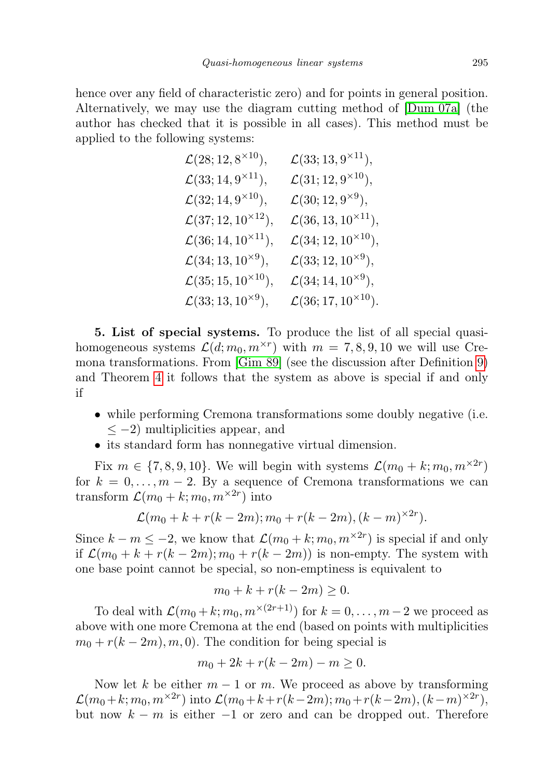hence over any field of characteristic zero) and for points in general position. Alternatively, we may use the diagram cutting method of [\[Dum 07a\]](#page-22-1) (the author has checked that it is possible in all cases). This method must be applied to the following systems:

$$
\mathcal{L}(28; 12, 8 \times 10), \qquad \mathcal{L}(33; 13, 9 \times 11), \n\mathcal{L}(33; 14, 9 \times 11), \qquad \mathcal{L}(31; 12, 9 \times 10), \n\mathcal{L}(32; 14, 9 \times 10), \qquad \mathcal{L}(30; 12, 9 \times 9), \n\mathcal{L}(37; 12, 10 \times 12), \qquad \mathcal{L}(36, 13, 10 \times 11), \n\mathcal{L}(36; 14, 10 \times 11), \qquad \mathcal{L}(34; 12, 10 \times 10), \n\mathcal{L}(34; 13, 10 \times 9), \qquad \mathcal{L}(33; 12, 10 \times 9), \n\mathcal{L}(35; 15, 10 \times 10), \qquad \mathcal{L}(34; 14, 10 \times 9), \n\mathcal{L}(33; 13, 10 \times 9), \qquad \mathcal{L}(36; 17, 10 \times 10).
$$

5. List of special systems. To produce the list of all special quasihomogeneous systems  $\mathcal{L}(d; m_0, m^{\times r})$  with  $m = 7, 8, 9, 10$  we will use Cremona transformations. From [\[Gim 89\]](#page-23-11) (see the discussion after Definition [9\)](#page-4-0) and Theorem [4](#page-2-0) it follows that the system as above is special if and only if

- while performing Cremona transformations some doubly negative (i.e.  $\leq$  -2) multiplicities appear, and
- its standard form has nonnegative virtual dimension.

Fix  $m \in \{7, 8, 9, 10\}$ . We will begin with systems  $\mathcal{L}(m_0 + k; m_0, m^{\times 2r})$ for  $k = 0, \ldots, m-2$ . By a sequence of Cremona transformations we can transform  $\mathcal{L}(m_0 + k; m_0, m^{\times 2r})$  into

$$
\mathcal{L}(m_0 + k + r(k-2m); m_0 + r(k-2m), (k-m)^{\times 2r}).
$$

Since  $k - m \leq -2$ , we know that  $\mathcal{L}(m_0 + k; m_0, m^{\times 2r})$  is special if and only if  $\mathcal{L}(m_0 + k + r(k-2m); m_0 + r(k-2m))$  is non-empty. The system with one base point cannot be special, so non-emptiness is equivalent to

$$
m_0 + k + r(k - 2m) \ge 0.
$$

To deal with  $\mathcal{L}(m_0 + k; m_0, m^{\times(2r+1)})$  for  $k = 0, \ldots, m-2$  we proceed as above with one more Cremona at the end (based on points with multiplicities  $m_0 + r(k-2m), m, 0$ . The condition for being special is

$$
m_0 + 2k + r(k - 2m) - m \ge 0.
$$

Now let k be either  $m-1$  or m. We proceed as above by transforming  $\mathcal{L}(m_0+k; m_0, m^{\times 2r}) \text{ into } \mathcal{L}(m_0+k+r(k-2m); m_0+r(k-2m), (k-m)^{\times 2r}),$ but now  $k - m$  is either  $-1$  or zero and can be dropped out. Therefore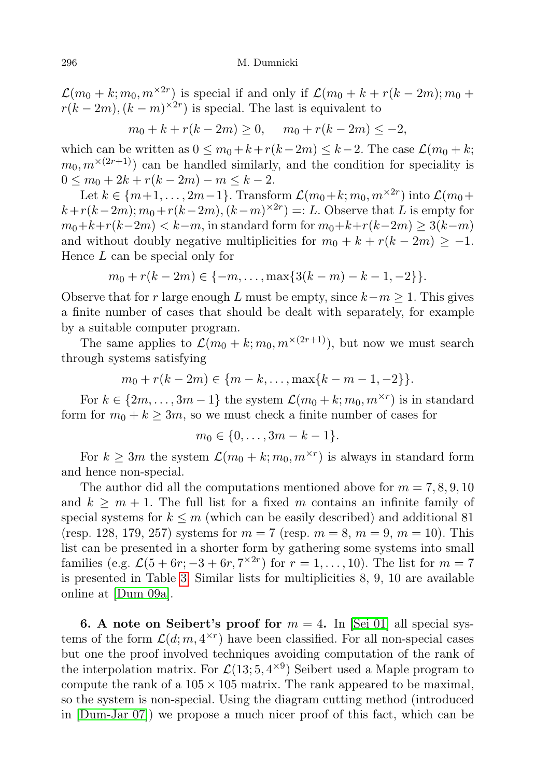$\mathcal{L}(m_0 + k; m_0, m^{\times 2r})$  is special if and only if  $\mathcal{L}(m_0 + k + r(k - 2m); m_0 +$  $r(k-2m)$ ,  $(k-m)^{\times 2r}$  is special. The last is equivalent to

$$
m_0 + k + r(k - 2m) \ge 0
$$
,  $m_0 + r(k - 2m) \le -2$ ,

which can be written as  $0 \le m_0 + k + r(k-2m) \le k-2$ . The case  $\mathcal{L}(m_0 + k;$  $m_0, m^{\times(2r+1)}$  can be handled similarly, and the condition for speciality is  $0 \leq m_0 + 2k + r(k - 2m) - m \leq k - 2.$ 

Let  $k \in \{m+1,\ldots,2m-1\}$ . Transform  $\mathcal{L}(m_0+k;m_0,m^{\times 2r})$  into  $\mathcal{L}(m_0+k;m_0,m^{\times 2r})$  $k + r(k-2m); m_0 + r(k-2m), (k-m)^{\times 2r}$  =: L. Observe that L is empty for  $m_0+k+r(k-2m) < k-m$ , in standard form for  $m_0+k+r(k-2m) \geq 3(k-m)$ and without doubly negative multiplicities for  $m_0 + k + r(k - 2m) \ge -1$ . Hence L can be special only for

$$
m_0 + r(k-2m) \in \{-m, \ldots, \max\{3(k-m) - k - 1, -2\}\}.
$$

Observe that for r large enough L must be empty, since  $k-m \geq 1$ . This gives a finite number of cases that should be dealt with separately, for example by a suitable computer program.

The same applies to  $\mathcal{L}(m_0 + k; m_0, m^{\times(2r+1)})$ , but now we must search through systems satisfying

$$
m_0 + r(k-2m) \in \{m-k, \ldots, \max\{k-m-1, -2\}\}.
$$

For  $k \in \{2m, \ldots, 3m-1\}$  the system  $\mathcal{L}(m_0+k; m_0, m^{\times r})$  is in standard form for  $m_0 + k > 3m$ , so we must check a finite number of cases for

$$
m_0 \in \{0, \ldots, 3m - k - 1\}.
$$

For  $k \geq 3m$  the system  $\mathcal{L}(m_0 + k; m_0, m^{\times r})$  is always in standard form and hence non-special.

The author did all the computations mentioned above for  $m = 7, 8, 9, 10$ and  $k \geq m+1$ . The full list for a fixed m contains an infinite family of special systems for  $k \leq m$  (which can be easily described) and additional 81 (resp. 128, 179, 257) systems for  $m = 7$  (resp.  $m = 8$ ,  $m = 9$ ,  $m = 10$ ). This list can be presented in a shorter form by gathering some systems into small families (e.g.  $\mathcal{L}(5 + 6r, -3 + 6r, 7^{\times 2r})$  for  $r = 1, ..., 10$ ). The list for  $m = 7$ is presented in Table [3.](#page-22-3) Similar lists for multiplicities 8, 9, 10 are available online at [\[Dum 09a\]](#page-23-12).

**6.** A note on Seibert's proof for  $m = 4$ . In [\[Sei 01\]](#page-23-6) all special systems of the form  $\mathcal{L}(d; m, 4^{\times r})$  have been classified. For all non-special cases but one the proof involved techniques avoiding computation of the rank of the interpolation matrix. For  $\mathcal{L}(13; 5, 4^{\times 9})$  Seibert used a Maple program to compute the rank of a  $105 \times 105$  matrix. The rank appeared to be maximal, so the system is non-special. Using the diagram cutting method (introduced in [\[Dum-Jar 07\]](#page-23-5)) we propose a much nicer proof of this fact, which can be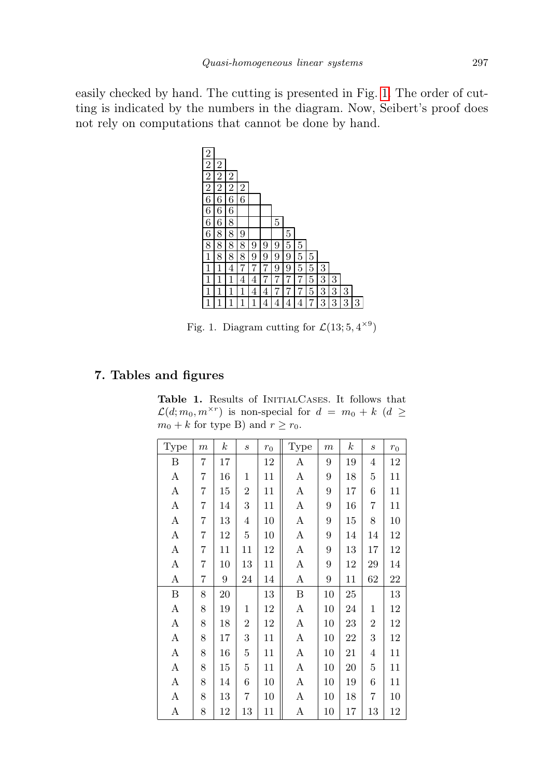easily checked by hand. The cutting is presented in Fig. [1.](#page-20-0) The order of cutting is indicated by the numbers in the diagram. Now, Seibert's proof does not rely on computations that cannot be done by hand.



<span id="page-20-0"></span>Fig. 1. Diagram cutting for  $\mathcal{L}(13; 5, 4^{\times 9})$ 

# 7. Tables and figures

Table 1. Results of INITIALCASES. It follows that  $\mathcal{L}(d; m_0, m^{\times r})$  is non-special for  $d = m_0 + k$  ( $d \geq$  $m_0 + k$  for type B) and  $r \ge r_0$ .

| Type | $\boldsymbol{m}$ | $_{k}$ | $\mathcal{S}_{\mathcal{S}}$ | $r_0$ | Type | $\boldsymbol{m}$ | $\boldsymbol{k}$ | $\mathcal{S}_{\mathcal{S}}$ | $r_{\rm 0}$ |
|------|------------------|--------|-----------------------------|-------|------|------------------|------------------|-----------------------------|-------------|
| B    | 7                | 17     |                             | 12    | Α    | 9                | 19               | $\overline{4}$              | 12          |
| А    | 7                | 16     | 1                           | 11    | А    | 9                | 18               | 5                           | 11          |
| А    | 7                | 15     | $\overline{2}$              | 11    | А    | 9                | 17               | 6                           | 11          |
| А    | 7                | 14     | 3                           | 11    | Α    | 9                | 16               | 7                           | 11          |
| А    | 7                | 13     | 4                           | 10    | Α    | 9                | 15               | 8                           | 10          |
| А    | $\overline{7}$   | 12     | $\overline{5}$              | 10    | Α    | 9                | 14               | 14                          | 12          |
| А    | $\overline{7}$   | 11     | 11                          | 12    | Α    | 9                | 13               | 17                          | 12          |
| А    | $\overline{7}$   | 10     | 13                          | 11    | А    | 9                | 12               | 29                          | 14          |
| A    | $\overline{7}$   | 9      | 24                          | 14    | А    | 9                | 11               | 62                          | 22          |
| Β    | 8                | 20     |                             | 13    | Β    | 10               | 25               |                             | 13          |
| А    | 8                | 19     | 1                           | 12    | А    | 10               | 24               | 1                           | 12          |
| А    | 8                | 18     | $\overline{2}$              | 12    | А    | 10               | 23               | $\overline{2}$              | 12          |
| А    | 8                | 17     | 3                           | 11    | А    | 10               | 22               | 3                           | 12          |
| А    | 8                | 16     | $\overline{5}$              | 11    | А    | 10               | 21               | 4                           | $11\,$      |
| А    | 8                | 15     | $\overline{5}$              | 11    | Α    | 10               | 20               | 5                           | $11\,$      |
| А    | 8                | 14     | 6                           | 10    | Α    | 10               | 19               | 6                           | 11          |
| А    | 8                | 13     | $\overline{7}$              | 10    | Α    | 10               | 18               | 7                           | 10          |
| А    | 8                | 12     | 13                          | 11    | А    | 10               | 17               | 13                          | 12          |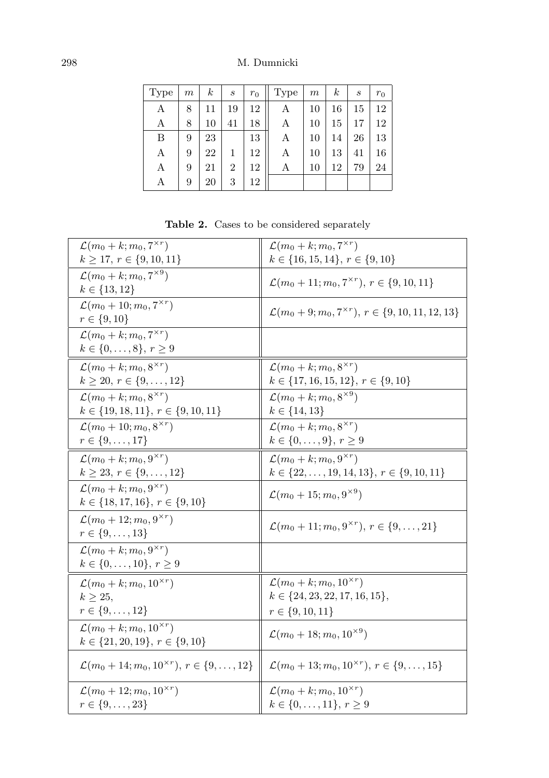| Type | m | k  | S  | $r_0$ | Type | $\boldsymbol{m}$ | k  | $\boldsymbol{s}$ | $r_0$ |
|------|---|----|----|-------|------|------------------|----|------------------|-------|
| А    | 8 | 11 | 19 | 12    | Α    | 10               | 16 | 15               | 12    |
| А    | 8 | 10 | 41 | 18    | А    | 10               | 15 | 17               | 12    |
| B    | 9 | 23 |    | 13    | А    | 10               | 14 | 26               | 13    |
| А    | 9 | 22 | 1  | 12    | А    | 10               | 13 | 41               | 16    |
| А    | 9 | 21 | 2  | 12    | А    | 10               | 12 | 79               | 24    |
| А    | 9 | 20 | 3  | 12    |      |                  |    |                  |       |

<span id="page-21-0"></span>Table 2. Cases to be considered separately

| $\mathcal{L}(m_0+k;m_0,7^{\times r})$                              | $\mathcal{L}(m_0+k;m_0,7^{\times r})$                                |
|--------------------------------------------------------------------|----------------------------------------------------------------------|
| $k \geq 17, r \in \{9, 10, 11\}$                                   | $k \in \{16, 15, 14\}, r \in \{9, 10\}$                              |
| $\mathcal{L}(m_0+k;m_0,7^{\times 9})$                              | $\mathcal{L}(m_0+11; m_0, 7^{\times r}), r \in \{9, 10, 11\}$        |
| $k \in \{13, 12\}$                                                 |                                                                      |
| $\mathcal{L}(m_0+10; m_0, 7^{\times r})$                           | $\mathcal{L}(m_0+9; m_0, 7^{\times r}), r \in \{9, 10, 11, 12, 13\}$ |
| $r \in \{9, 10\}$                                                  |                                                                      |
| $\mathcal{L}(m_0+k;m_0,7^{\times r})$                              |                                                                      |
| $k \in \{0, \ldots, 8\}, r \ge 9$                                  |                                                                      |
| $\mathcal{L}(m_0+k;m_0,8^{\times r})$                              | $\mathcal{L}(m_0+k;m_0,8^{\times r})$                                |
| $k \ge 20, r \in \{9, \ldots, 12\}$                                | $k \in \{17, 16, 15, 12\}, r \in \{9, 10\}$                          |
| $\mathcal{L}(m_0+k;m_0,8^{\times r})$                              | $\mathcal{L}(m_0 + k; m_0, 8^{\times 9})$                            |
| $k \in \{19, 18, 11\}, r \in \{9, 10, 11\}$                        | $k \in \{14, 13\}$                                                   |
| $\mathcal{L}(m_0+10; m_0, 8^{\times r})$                           | $\mathcal{L}(m_0+k;m_0,8^{\times r})$                                |
| $r \in \{9, \ldots, 17\}$                                          | $k \in \{0, \ldots, 9\}, r \geq 9$                                   |
| $\mathcal{L}(m_0+k;m_0,9^{\times r})$                              | $\mathcal{L}(m_0+k;m_0,9^{\times r})$                                |
| $k \geq 23, r \in \{9, \ldots, 12\}$                               | $k \in \{22, \ldots, 19, 14, 13\}, r \in \{9, 10, 11\}$              |
| $\mathcal{L}(m_0+k;m_0,9^{\times r})$                              | $\mathcal{L}(m_0+15; m_0, 9^{\times 9})$                             |
| $k \in \{18, 17, 16\}, r \in \{9, 10\}$                            |                                                                      |
| $\mathcal{L}(m_0 + 12; m_0, 9^{\times r})$                         |                                                                      |
| $r \in \{9, \ldots, 13\}$                                          | $\mathcal{L}(m_0+11; m_0, 9^{\times r}), r \in \{9, \ldots, 21\}$    |
| $\mathcal{L}(m_0+k;m_0,9^{\times r})$                              |                                                                      |
| $k \in \{0, \ldots, 10\}, r \ge 9$                                 |                                                                      |
| $\mathcal{L}(m_0+k;m_0,10^{\times r})$                             | $\mathcal{L}(m_0+k;m_0,10^{\times r})$                               |
| $k > 25$ ,                                                         | $k \in \{24, 23, 22, 17, 16, 15\},\$                                 |
| $r \in \{9, \ldots, 12\}$                                          | $r \in \{9, 10, 11\}$                                                |
| $\mathcal{L}(m_0+k;m_0,10^{\times r})$                             |                                                                      |
| $k \in \{21, 20, 19\}, r \in \{9, 10\}$                            | $\mathcal{L}(m_0+18; m_0, 10^{\times 9})$                            |
|                                                                    |                                                                      |
| $\mathcal{L}(m_0+14; m_0, 10^{\times r}), r \in \{9, \ldots, 12\}$ | $\mathcal{L}(m_0+13; m_0, 10^{\times r}), r \in \{9, \ldots, 15\}$   |
| $\mathcal{L}(m_0+12; m_0, 10^{\times r})$                          | $\mathcal{L}(m_0+k;m_0,10^{\times r})$                               |
| $r\in\{9,\ldots,23\}$                                              | $k \in \{0, \ldots, 11\}, r \ge 9$                                   |
|                                                                    |                                                                      |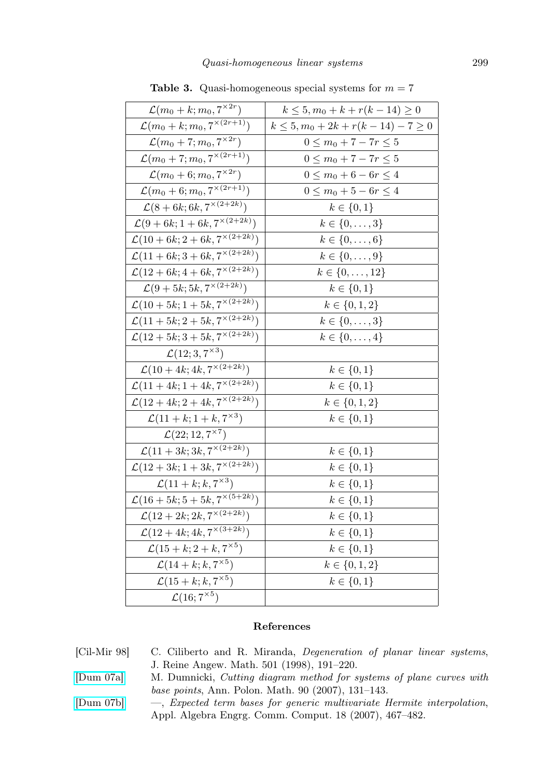| $\mathcal{L}(m_0+k;m_0,7^{\times 2r})$                  | $k \leq 5, m_0 + k + r(k - 14) \geq 0$      |
|---------------------------------------------------------|---------------------------------------------|
| $\mathcal{L}(m_0+k;m_0,7^{\times(2r+1)})$               | $k \leq 5, m_0 + 2k + r(k - 14) - 7 \geq 0$ |
| $\mathcal{L}(m_0+7;m_0,7^{\times 2r})$                  | $0 \le m_0 + 7 - 7r \le 5$                  |
| $\mathcal{L}(m_0+7; m_0, 7^{\times (2r+1)})$            | $0 \le m_0 + 7 - 7r \le 5$                  |
| $\mathcal{L}(m_0+6;m_0,7^{\times 2r})$                  | $0 \leq m_0 + 6 - 6r \leq 4$                |
| $\mathcal{L}(m_0+6; m_0, 7^{\times (2r+1)})$            | $0 \leq m_0 + 5 - 6r \leq 4$                |
| $\mathcal{L}(8 + 6k; 6k, 7^{\times (2 + 2k)})$          | $k \in \{0, 1\}$                            |
| $\mathcal{L}(9+6k; 1+6k, 7^{\times (2+2k)})$            | $k \in \{0, \ldots, 3\}$                    |
| $\mathcal{L}(10+6k; 2+6k, 7^{\times (2+2k)})$           | $k \in \{0, \ldots, 6\}$                    |
| $\mathcal{L}(11+6k; 3+6k, 7^{\times(2+\overline{2k})})$ | $k \in \{0, \ldots, 9\}$                    |
| $\mathcal{L}(12 + 6k; 4 + 6k, 7^{\times (2+2k)})$       | $k \in \{0, \ldots, 12\}$                   |
| $\mathcal{L}(9+5k;5k,7^{\times (2+2k)})$                | $k\in\{0,1\}$                               |
| $\mathcal{L}(10+5k; 1+5k, 7^{\times (2+2k)})$           | $k \in \{0, 1, 2\}$                         |
| $\mathcal{L}(11+5k; 2+5k, 7^{\times (2+2k)})$           | $k \in \{0,\ldots,3\}$                      |
| $\mathcal{L}(12+5k; 3+5k, 7^{\times (2+2k)})$           | $k \in \{0,\ldots,4\}$                      |
| $\mathcal{L}(12; 3, 7^{\times 3})$                      |                                             |
| $\mathcal{L}(10+4k; 4k, 7^{\times (2+2k)})$             | $k \in \{0, 1\}$                            |
| $\mathcal{L}(11+4k; 1+4k; 7^{\times (2+2k)})$           | $k \in \{0, 1\}$                            |
| $\mathcal{L}(12+4k; 2+4k, 7^{\times (2+2k)})$           | $k \in \{0, 1, 2\}$                         |
| $\mathcal{L}(11 + k; 1 + k, 7^{\times 3})$              | $k \in \{0, 1\}$                            |
| $\mathcal{L}(22; 12, 7^{\times 7})$                     |                                             |
| $\mathcal{L}(11+3k; 3k, 7^{\times (2+2k)})$             | $k \in \{0, 1\}$                            |
| $\mathcal{L}(12+3k; 1+3k, 7^{\times (2+2k)})$           | $k \in \{0, 1\}$                            |
| $\mathcal{L}(11 + k; k, 7^{\times 3})$                  | $k \in \{0, 1\}$                            |
| $\mathcal{L}(16+5k; 5+5k, 7^{\times(5+2k)})$            | $k \in \{0, 1\}$                            |
| $\mathcal{L}(12 + 2k; 2k, 7^{\times (2+2k)})$           | $k \in \{0, 1\}$                            |
| $\mathcal{L}(12 + 4k; 4k, 7^{\times (3+2k)})$           | $k \in \{0, 1\}$                            |
| $\mathcal{L}(15 + k; 2 + k, 7^{\times 5})$              | $k \in \{0, 1\}$                            |
| $\mathcal{L}(14 + k; k, 7^{\times 5})$                  | $k \in \{0, 1, 2\}$                         |
| $\mathcal{L}(15+k;k,7^{\times 5})$                      | $k \in \{0, 1\}$                            |
| $\mathcal{L}(16; 7^{\times 5})$                         |                                             |

<span id="page-22-3"></span>**Table 3.** Quasi-homogeneous special systems for  $m = 7$ 

## References

- <span id="page-22-0"></span>[Cil-Mir 98] C. Ciliberto and R. Miranda, Degeneration of planar linear systems, J. Reine Angew. Math. 501 (1998), 191–220.
- <span id="page-22-1"></span>[\[Dum 07a\]](http://dx.doi.org/10.4064/ap90-2-3) M. Dumnicki, Cutting diagram method for systems of plane curves with base points, Ann. Polon. Math. 90 (2007), 131–143.
- <span id="page-22-2"></span>[\[Dum 07b\]](http://dx.doi.org/10.1007/s00200-007-0049-6) —, Expected term bases for generic multivariate Hermite interpolation, Appl. Algebra Engrg. Comm. Comput. 18 (2007), 467–482.